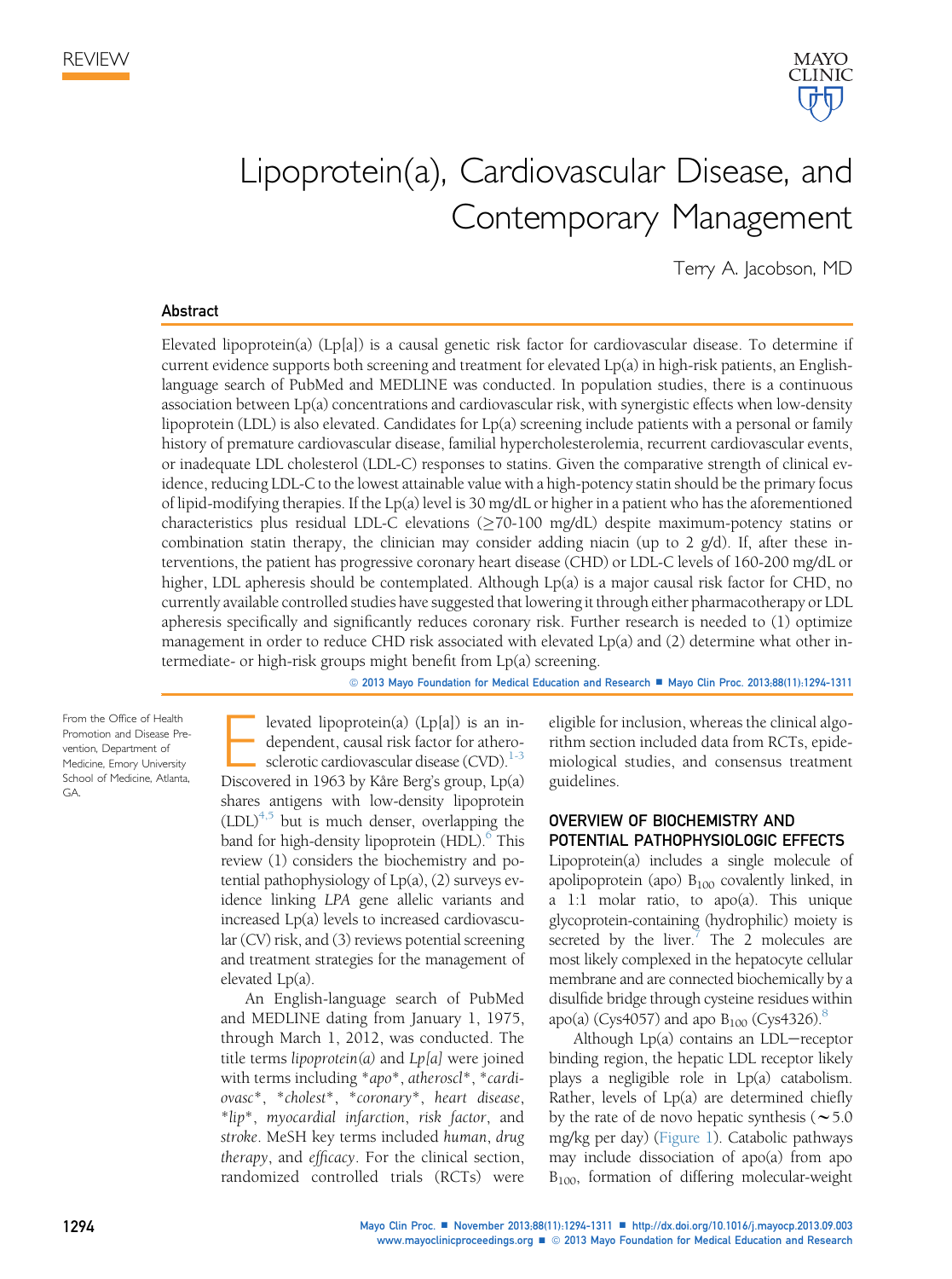

# Lipoprotein(a), Cardiovascular Disease, and Contemporary Management

Terry A. Jacobson, MD

#### Abstract

Elevated lipoprotein(a) (Lp[a]) is a causal genetic risk factor for cardiovascular disease. To determine if current evidence supports both screening and treatment for elevated Lp(a) in high-risk patients, an Englishlanguage search of PubMed and MEDLINE was conducted. In population studies, there is a continuous association between Lp(a) concentrations and cardiovascular risk, with synergistic effects when low-density lipoprotein (LDL) is also elevated. Candidates for Lp(a) screening include patients with a personal or family history of premature cardiovascular disease, familial hypercholesterolemia, recurrent cardiovascular events, or inadequate LDL cholesterol (LDL-C) responses to statins. Given the comparative strength of clinical evidence, reducing LDL-C to the lowest attainable value with a high-potency statin should be the primary focus of lipid-modifying therapies. If the Lp(a) level is 30 mg/dL or higher in a patient who has the aforementioned characteristics plus residual LDL-C elevations ( $\geq$ 70-100 mg/dL) despite maximum-potency statins or combination statin therapy, the clinician may consider adding niacin (up to 2  $g/d$ ). If, after these interventions, the patient has progressive coronary heart disease (CHD) or LDL-C levels of 160-200 mg/dL or higher, LDL apheresis should be contemplated. Although Lp(a) is a major causal risk factor for CHD, no currently available controlled studies have suggested that lowering it through either pharmacotherapy or LDL apheresis specifically and significantly reduces coronary risk. Further research is needed to (1) optimize management in order to reduce CHD risk associated with elevated Lp(a) and (2) determine what other intermediate- or high-risk groups might benefit from Lp(a) screening.

© 2013 Mayo Foundation for Medical Education and Research ■ Mayo Clin Proc. 2013;88(11):1294-1311

From the Office of Health Promotion and Disease Prevention, Department of Medicine, Emory University School of Medicine, Atlanta, **GA** 

Elevated lipoprotein(a) (Lp[a]) is an in-<br>dependent, causal risk factor for athero-<br>sclerotic cardiovascular disease (CVD).<sup>1-3</sup><br>Discovered in 1963 by Kåre Berg's group I p(a) dependent, causal risk factor for athero-sclerotic cardiovascular disease (CVD).<sup>[1-3](#page-14-0)</sup> Discovered in 1963 by Kåre Berg's group, Lp(a) shares antigens with low-density lipoprotein  $(LDL)^{4,5}$  $(LDL)^{4,5}$  $(LDL)^{4,5}$  but is much denser, overlapping the band for high-density lipoprotein (HDL).<sup>6</sup> This review (1) considers the biochemistry and potential pathophysiology of Lp(a), (2) surveys evidence linking LPA gene allelic variants and increased Lp(a) levels to increased cardiovascular (CV) risk, and (3) reviews potential screening and treatment strategies for the management of elevated Lp(a).

An English-language search of PubMed and MEDLINE dating from January 1, 1975, through March 1, 2012, was conducted. The title terms lipoprotein(a) and  $Lp[a]$  were joined with terms including \*apo\*, atheroscl\*, \*cardiovasc\*, \*cholest\*, \*coronary\*, heart disease, \*lip\*, myocardial infarction, risk factor, and stroke. MeSH key terms included human, drug therapy, and efficacy. For the clinical section, randomized controlled trials (RCTs) were eligible for inclusion, whereas the clinical algorithm section included data from RCTs, epidemiological studies, and consensus treatment guidelines.

## OVERVIEW OF BIOCHEMISTRY AND POTENTIAL PATHOPHYSIOLOGIC EFFECTS

Lipoprotein(a) includes a single molecule of apolipoprotein (apo)  $B_{100}$  covalently linked, in a 1:1 molar ratio, to apo(a). This unique glycoprotein-containing (hydrophilic) moiety is secreted by the liver.<sup>7</sup> The 2 molecules are most likely complexed in the hepatocyte cellular membrane and are connected biochemically by a disulfide bridge through cysteine residues within apo(a) (Cys4057) and apo  $B_{100}$  (Cys4326).<sup>[8](#page-14-0)</sup>

Although  $Lp(a)$  contains an  $LDL$ -receptor binding region, the hepatic LDL receptor likely plays a negligible role in Lp(a) catabolism. Rather, levels of Lp(a) are determined chiefly by the rate of de novo hepatic synthesis ( $\sim$  5.0 mg/kg per day) [\(Figure 1\)](#page-2-0). Catabolic pathways may include dissociation of apo(a) from apo B100, formation of differing molecular-weight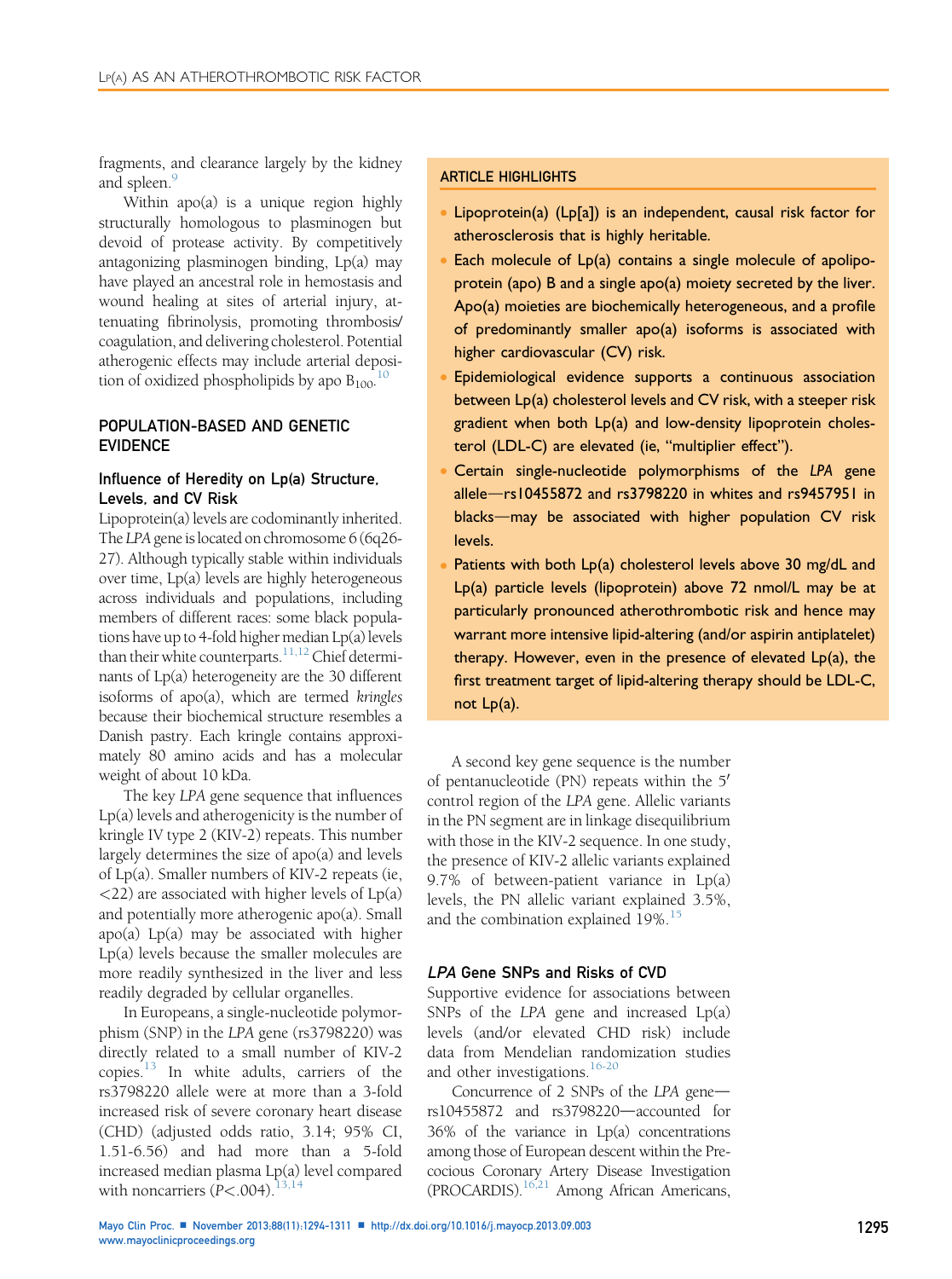fragments, and clearance largely by the kidney and spleen.<sup>9</sup>

Within apo(a) is a unique region highly structurally homologous to plasminogen but devoid of protease activity. By competitively antagonizing plasminogen binding, Lp(a) may have played an ancestral role in hemostasis and wound healing at sites of arterial injury, attenuating fibrinolysis, promoting thrombosis/ coagulation, and delivering cholesterol. Potential atherogenic effects may include arterial deposition of oxidized phospholipids by apo  $B_{100}$  $B_{100}$  $B_{100}$ .<sup>10</sup>

## POPULATION-BASED AND GENETIC EVIDENCE

## Influence of Heredity on Lp(a) Structure, Levels, and CV Risk

Lipoprotein(a) levels are codominantly inherited. The LPA gene is located on chromosome 6 (6q26-27). Although typically stable within individuals over time, Lp(a) levels are highly heterogeneous across individuals and populations, including members of different races: some black populations have up to 4-fold higher median Lp(a) levels than their white counterparts.<sup>11,12</sup> Chief determinants of Lp(a) heterogeneity are the 30 different isoforms of apo(a), which are termed kringles because their biochemical structure resembles a Danish pastry. Each kringle contains approximately 80 amino acids and has a molecular weight of about 10 kDa.

The key LPA gene sequence that influences Lp(a) levels and atherogenicity is the number of kringle IV type 2 (KIV-2) repeats. This number largely determines the size of apo(a) and levels of Lp(a). Smaller numbers of KIV-2 repeats (ie,  $\langle$ 22) are associated with higher levels of Lp(a) and potentially more atherogenic apo(a). Small apo(a) Lp(a) may be associated with higher Lp(a) levels because the smaller molecules are more readily synthesized in the liver and less readily degraded by cellular organelles.

In Europeans, a single-nucleotide polymorphism (SNP) in the LPA gene (rs3798220) was directly related to a small number of KIV-2 copies.[13](#page-14-0) In white adults, carriers of the rs3798220 allele were at more than a 3-fold increased risk of severe coronary heart disease (CHD) (adjusted odds ratio, 3.14; 95% CI, 1.51-6.56) and had more than a 5-fold increased median plasma Lp(a) level compared with noncarriers  $(P<.004)$ .<sup>[13,14](#page-14-0)</sup>

# ARTICLE HIGHLIGHTS

- Lipoprotein(a) (Lp[a]) is an independent, causal risk factor for atherosclerosis that is highly heritable.
- Each molecule of Lp(a) contains a single molecule of apolipoprotein (apo) B and a single apo(a) moiety secreted by the liver. Apo(a) moieties are biochemically heterogeneous, and a profile of predominantly smaller apo(a) isoforms is associated with higher cardiovascular (CV) risk.
- Epidemiological evidence supports a continuous association between Lp(a) cholesterol levels and CV risk, with a steeper risk gradient when both Lp(a) and low-density lipoprotein cholesterol (LDL-C) are elevated (ie, "multiplier effect").
- Certain single-nucleotide polymorphisms of the LPA gene allele-rs10455872 and rs3798220 in whites and rs9457951 in blacks-may be associated with higher population CV risk levels.
- Patients with both Lp(a) cholesterol levels above 30 mg/dL and Lp(a) particle levels (lipoprotein) above 72 nmol/L may be at particularly pronounced atherothrombotic risk and hence may warrant more intensive lipid-altering (and/or aspirin antiplatelet) therapy. However, even in the presence of elevated Lp(a), the first treatment target of lipid-altering therapy should be LDL-C, not Lp(a).

A second key gene sequence is the number of pentanucleotide (PN) repeats within the  $5'$ control region of the LPA gene. Allelic variants in the PN segment are in linkage disequilibrium with those in the KIV-2 sequence. In one study, the presence of KIV-2 allelic variants explained 9.7% of between-patient variance in Lp(a) levels, the PN allelic variant explained 3.5%, and the combination explained 19%.<sup>[15](#page-14-0)</sup>

#### LPA Gene SNPs and Risks of CVD

Supportive evidence for associations between SNPs of the LPA gene and increased Lp(a) levels (and/or elevated CHD risk) include data from Mendelian randomization studies and other investigations.<sup>[16-20](#page-14-0)</sup>

Concurrence of  $2$  SNPs of the LPA gene $$ rs10455872 and rs3798220-accounted for 36% of the variance in Lp(a) concentrations among those of European descent within the Precocious Coronary Artery Disease Investigation (PROCARDIS)[.16,21](#page-14-0) Among African Americans,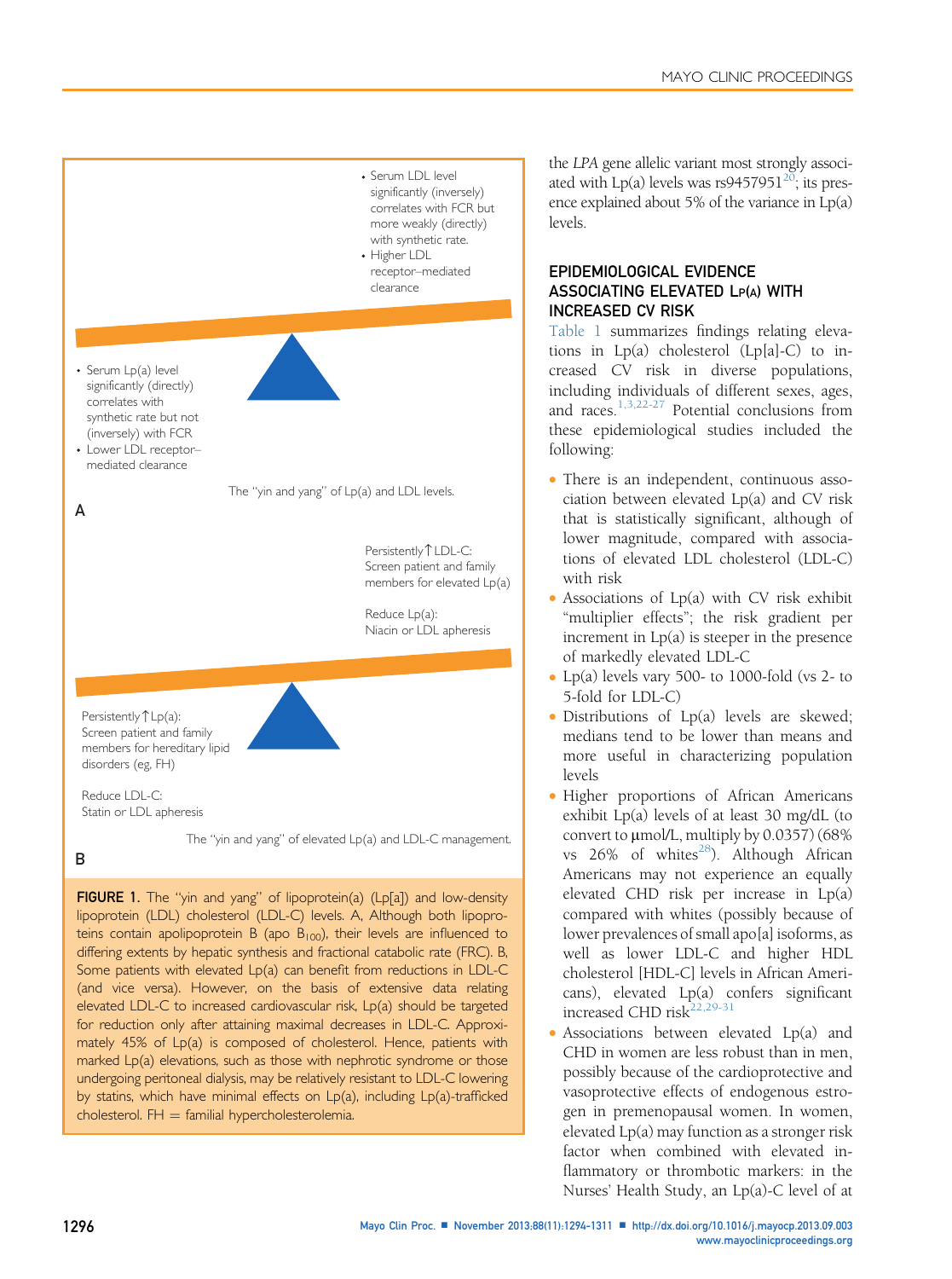<span id="page-2-0"></span>

by statins, which have minimal effects on Lp(a), including Lp(a)-trafficked

 $cholesterol. FH = familiar hypercholesterolemia.$ 

the LPA gene allelic variant most strongly associated with  $Lp(a)$  levels was rs9457951<sup>20</sup>; its presence explained about 5% of the variance in Lp(a) levels.

# EPIDEMIOLOGICAL EVIDENCE ASSOCIATING ELEVATED LP(A) WITH INCREASED CV RISK

[Table 1](#page-4-0) summarizes findings relating elevations in Lp(a) cholesterol (Lp[a]-C) to increased CV risk in diverse populations, including individuals of different sexes, ages, and races.[1,3,22-27](#page-14-0) Potential conclusions from these epidemiological studies included the following:

- There is an independent, continuous association between elevated Lp(a) and CV risk that is statistically significant, although of lower magnitude, compared with associations of elevated LDL cholesterol (LDL-C) with risk
- $\bullet$  Associations of Lp(a) with CV risk exhibit "multiplier effects"; the risk gradient per increment in  $Lp(a)$  is steeper in the presence of markedly elevated LDL-C
- Lp(a) levels vary 500- to 1000-fold (vs  $2-$  to 5-fold for LDL-C)
- Distributions of Lp(a) levels are skewed; medians tend to be lower than means and more useful in characterizing population levels
- Higher proportions of African Americans exhibit Lp(a) levels of at least 30 mg/dL (to convert to  $\mu$ mol/L, multiply by 0.0357) (68% vs  $26\%$  of whites<sup>[28](#page-14-0)</sup>). Although African Americans may not experience an equally elevated CHD risk per increase in Lp(a) compared with whites (possibly because of lower prevalences of small apo[a] isoforms, as well as lower LDL-C and higher HDL cholesterol [HDL-C] levels in African Americans), elevated Lp(a) confers significant increased CHD risk<sup>[22,29-31](#page-14-0)</sup>
- Associations between elevated Lp(a) and CHD in women are less robust than in men, possibly because of the cardioprotective and vasoprotective effects of endogenous estrogen in premenopausal women. In women, elevated Lp(a) may function as a stronger risk factor when combined with elevated inflammatory or thrombotic markers: in the Nurses' Health Study, an Lp(a)-C level of at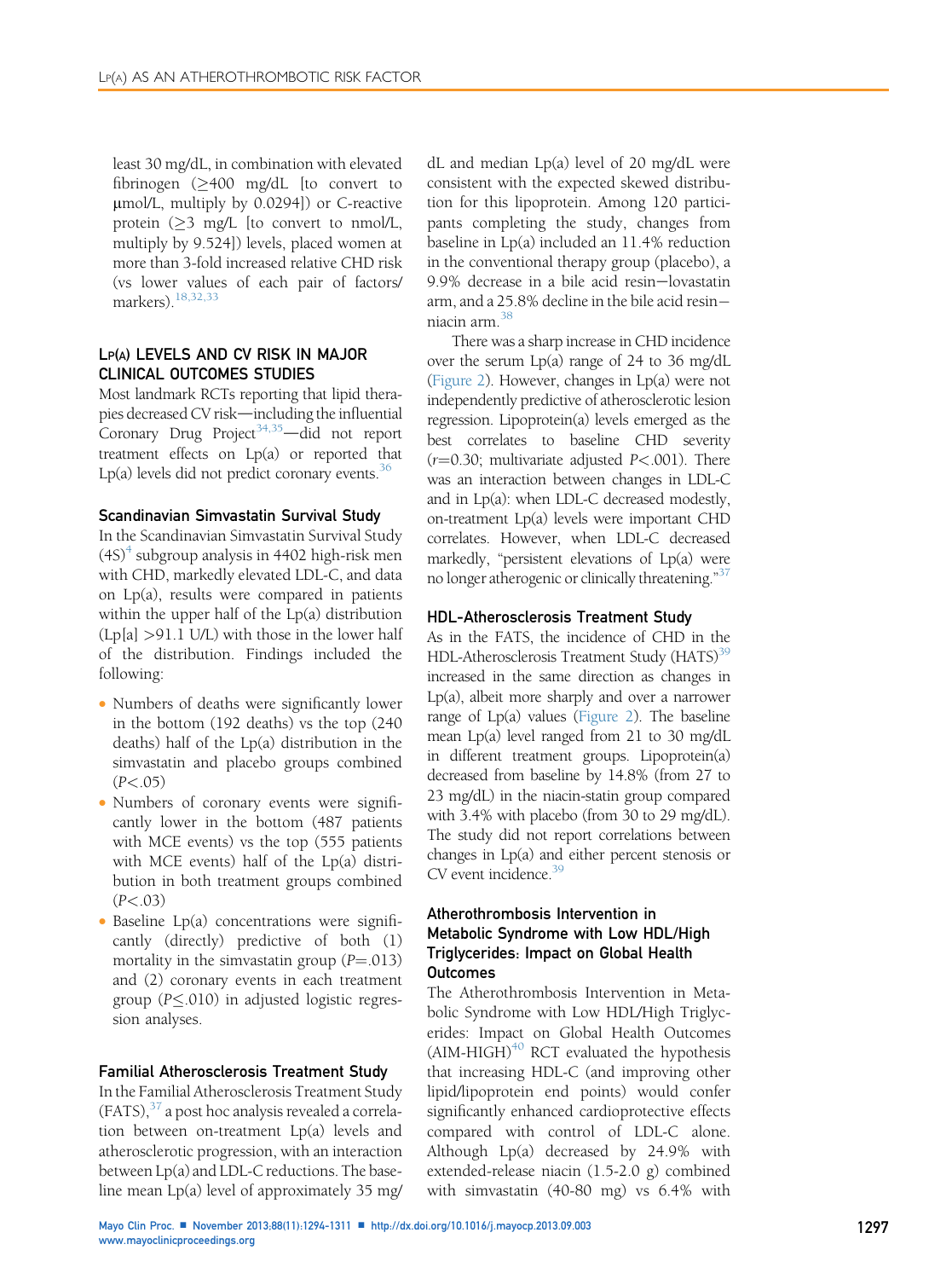least 30 mg/dL, in combination with elevated fibrinogen  $(>400 \text{ mg/dL}$  [to convert to mmol/L, multiply by 0.0294]) or C-reactive protein  $(\geq 3 \text{ mg/L})$  [to convert to nmol/L, multiply by 9.524]) levels, placed women at more than 3-fold increased relative CHD risk (vs lower values of each pair of factors/ markers).[18,32,33](#page-14-0)

# LP(A) LEVELS AND CV RISK IN MAJOR CLINICAL OUTCOMES STUDIES

Most landmark RCTs reporting that lipid therapies decreased CV risk-including the influential Coronary Drug Project<sup>34,35</sup> $-$ did not report treatment effects on Lp(a) or reported that Lp(a) levels did not predict coronary events.<sup>[36](#page-15-0)</sup>

## Scandinavian Simvastatin Survival Study

In the Scandinavian Simvastatin Survival Study  $(4S)^4$  $(4S)^4$  $(4S)^4$  subgroup analysis in 4402 high-risk men with CHD, markedly elevated LDL-C, and data on Lp(a), results were compared in patients within the upper half of the Lp(a) distribution  $(Lp[a] > 91.1 \text{ U/L})$  with those in the lower half of the distribution. Findings included the following:

- Numbers of deaths were significantly lower in the bottom (192 deaths) vs the top (240 deaths) half of the Lp(a) distribution in the simvastatin and placebo groups combined  $(P < .05)$
- Numbers of coronary events were significantly lower in the bottom (487 patients with MCE events) vs the top (555 patients with MCE events) half of the Lp(a) distribution in both treatment groups combined  $(P < 0.03)$
- $\bullet$  Baseline Lp(a) concentrations were significantly (directly) predictive of both (1) mortality in the simvastatin group  $(P=.013)$ and (2) coronary events in each treatment group ( $P \leq 010$ ) in adjusted logistic regression analyses.

## Familial Atherosclerosis Treatment Study

In the Familial Atherosclerosis Treatment Study  $(FATS)$ ,  $37$  a post hoc analysis revealed a correlation between on-treatment Lp(a) levels and atherosclerotic progression, with an interaction between Lp(a) and LDL-C reductions. The baseline mean Lp(a) level of approximately 35 mg/

dL and median Lp(a) level of 20 mg/dL were consistent with the expected skewed distribution for this lipoprotein. Among 120 participants completing the study, changes from baseline in Lp(a) included an 11.4% reduction in the conventional therapy group (placebo), a 9.9% decrease in a bile acid resin-lovastatin arm, and a 25.8% decline in the bile acid resin niacin arm.[38](#page-15-0)

There was a sharp increase in CHD incidence over the serum Lp(a) range of 24 to 36 mg/dL ([Figure 2\)](#page-7-0). However, changes in Lp(a) were not independently predictive of atherosclerotic lesion regression. Lipoprotein(a) levels emerged as the best correlates to baseline CHD severity  $(r=0.30;$  multivariate adjusted  $P<.001$ ). There was an interaction between changes in LDL-C and in Lp(a): when LDL-C decreased modestly, on-treatment Lp(a) levels were important CHD correlates. However, when LDL-C decreased markedly, "persistent elevations of Lp(a) were no longer atherogenic or clinically threatening." [37](#page-15-0)

#### HDL-Atherosclerosis Treatment Study

As in the FATS, the incidence of CHD in the HDL-Atherosclerosis Treatment Study (HATS)<sup>39</sup> increased in the same direction as changes in Lp(a), albeit more sharply and over a narrower range of  $Lp(a)$  values [\(Figure 2\)](#page-7-0). The baseline mean Lp(a) level ranged from 21 to 30 mg/dL in different treatment groups. Lipoprotein(a) decreased from baseline by 14.8% (from 27 to 23 mg/dL) in the niacin-statin group compared with 3.4% with placebo (from 30 to 29 mg/dL). The study did not report correlations between changes in Lp(a) and either percent stenosis or  $CV$  event incidence.  $39$ 

# Atherothrombosis Intervention in Metabolic Syndrome with Low HDL/High Triglycerides: Impact on Global Health Outcomes

The Atherothrombosis Intervention in Metabolic Syndrome with Low HDL/High Triglycerides: Impact on Global Health Outcomes  $(AIM-HIGH)^{40}$  $(AIM-HIGH)^{40}$  $(AIM-HIGH)^{40}$  RCT evaluated the hypothesis that increasing HDL-C (and improving other lipid/lipoprotein end points) would confer significantly enhanced cardioprotective effects compared with control of LDL-C alone. Although Lp(a) decreased by 24.9% with extended-release niacin (1.5-2.0 g) combined with simvastatin (40-80 mg) vs 6.4% with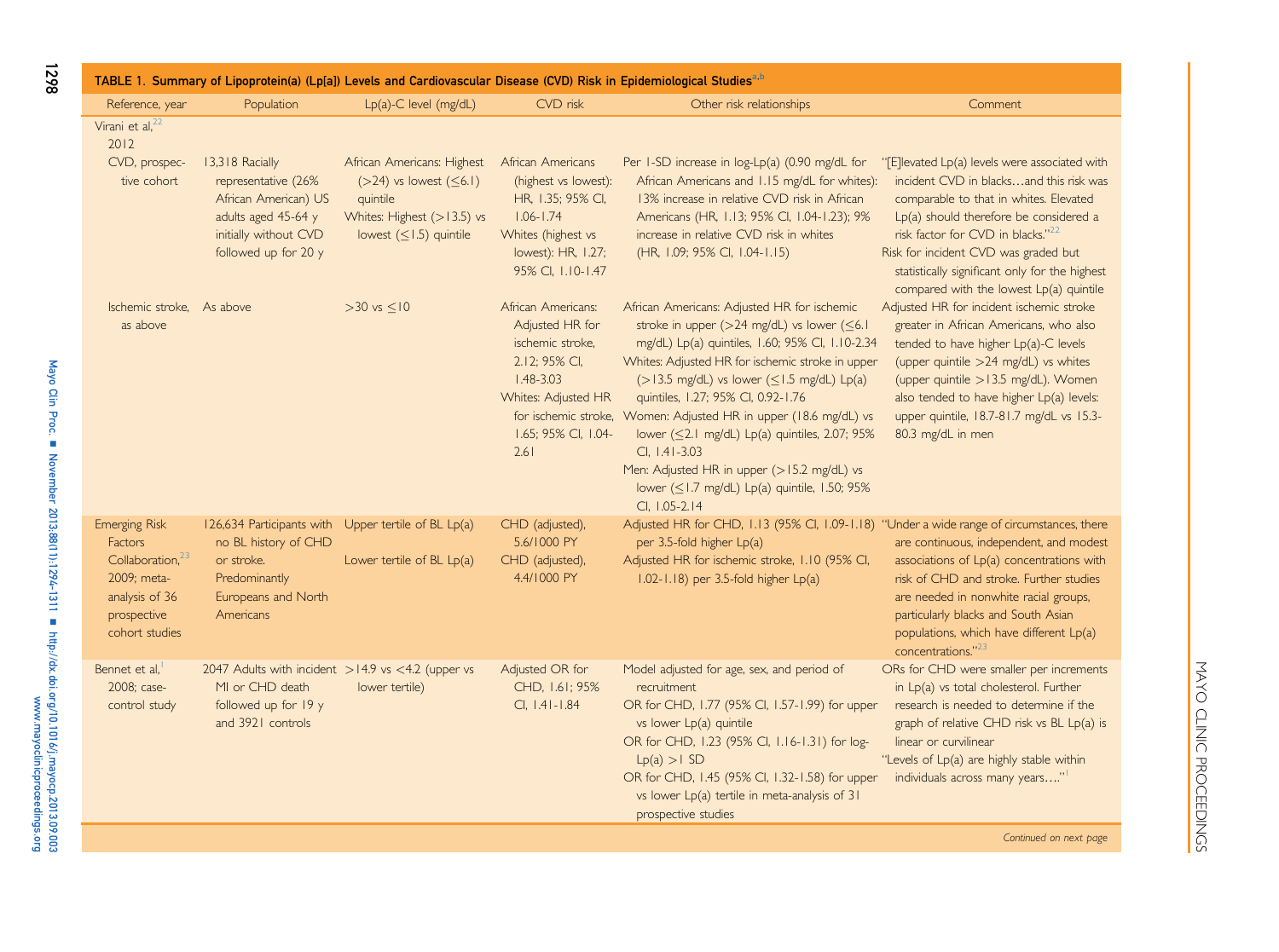<span id="page-4-0"></span>

| TABLE 1. Summary of Lipoprotein(a) (Lp[a]) Levels and Cardiovascular Disease (CVD) Risk in Epidemiological Studies <sup>a,b</sup>        |                                                                                                                                        |                                                                                                                                   |                                                                                                                                                   |                                                                                                                                                                                                                                                                                                                                                                                                                                                                                                                                                                           |                                                                                                                                                                                                                                                                                                                                                                      |  |
|------------------------------------------------------------------------------------------------------------------------------------------|----------------------------------------------------------------------------------------------------------------------------------------|-----------------------------------------------------------------------------------------------------------------------------------|---------------------------------------------------------------------------------------------------------------------------------------------------|---------------------------------------------------------------------------------------------------------------------------------------------------------------------------------------------------------------------------------------------------------------------------------------------------------------------------------------------------------------------------------------------------------------------------------------------------------------------------------------------------------------------------------------------------------------------------|----------------------------------------------------------------------------------------------------------------------------------------------------------------------------------------------------------------------------------------------------------------------------------------------------------------------------------------------------------------------|--|
| Reference, year                                                                                                                          | Population                                                                                                                             | $Lp(a)-C$ level (mg/dL)                                                                                                           | CVD risk                                                                                                                                          | Other risk relationships                                                                                                                                                                                                                                                                                                                                                                                                                                                                                                                                                  | Comment                                                                                                                                                                                                                                                                                                                                                              |  |
| Virani et al, <sup>22</sup><br>2012<br>CVD, prospec-<br>tive cohort                                                                      | 13,318 Racially<br>representative (26%<br>African American) US<br>adults aged 45-64 y<br>initially without CVD<br>followed up for 20 y | African Americans: Highest<br>$($ >24) vs lowest $($ < 6.1)<br>quintile<br>Whites: Highest (>13.5) vs<br>lowest $(<1.5)$ quintile | African Americans<br>(highest vs lowest):<br>HR, 1.35; 95% CI,<br>$1.06 - 1.74$<br>Whites (highest vs<br>lowest): HR, 1.27;<br>95% CI, 1.10-1.47  | Per $1$ -SD increase in $log-Lp(a)$ (0.90 mg/dL for<br>African Americans and 1.15 mg/dL for whites):<br>13% increase in relative CVD risk in African<br>Americans (HR, 1.13; 95% CI, 1.04-1.23); 9%<br>increase in relative CVD risk in whites<br>(HR, 1.09; 95% CI, 1.04-1.15)                                                                                                                                                                                                                                                                                           | "[E]levated Lp(a) levels were associated with<br>incident CVD in blacksand this risk was<br>comparable to that in whites. Elevated<br>$Lp(a)$ should therefore be considered a<br>risk factor for CVD in blacks." <sup>22</sup><br>Risk for incident CVD was graded but<br>statistically significant only for the highest<br>compared with the lowest Lp(a) quintile |  |
| Ischemic stroke. As above<br>as above                                                                                                    |                                                                                                                                        | $>30$ vs $< 10$                                                                                                                   | African Americans:<br>Adjusted HR for<br>ischemic stroke,<br>2.12; 95% CI,<br>$1.48 - 3.03$<br>Whites: Adjusted HR<br>1.65; 95% CI, 1.04-<br>2.61 | African Americans: Adjusted HR for ischemic<br>stroke in upper (>24 mg/dL) vs lower (≤6.1<br>mg/dL) Lp(a) quintiles, 1.60; 95% Cl, 1.10-2.34<br>Whites: Adjusted HR for ischemic stroke in upper<br>$($ > 13.5 mg/dL) vs lower ( $\leq$ 1.5 mg/dL) Lp(a)<br>quintiles, 1.27; 95% CI, 0.92-1.76<br>for ischemic stroke, Women: Adjusted HR in upper (18.6 mg/dL) vs<br>lower (<2.1 mg/dL) Lp(a) quintiles, 2.07; 95%<br>$Cl, 1.41 - 3.03$<br>Men: Adjusted HR in upper (>15.2 mg/dL) vs<br>lower $(\leq 1.7 \text{ mg/dL})$ Lp(a) quintile, 1.50; 95%<br>$Cl. 1.05 - 2.14$ | Adjusted HR for incident ischemic stroke<br>greater in African Americans, who also<br>tended to have higher Lp(a)-C levels<br>(upper quintile >24 mg/dL) vs whites<br>(upper quintile >13.5 mg/dL). Women<br>also tended to have higher Lp(a) levels:<br>upper quintile, 18.7-81.7 mg/dL vs 15.3-<br>80.3 mg/dL in men                                               |  |
| <b>Emerging Risk</b><br><b>Factors</b><br>Collaboration, <sup>23</sup><br>2009: meta-<br>analysis of 36<br>prospective<br>cohort studies | no BL history of CHD<br>or stroke.<br>Predominantly<br>Europeans and North<br>Americans                                                | 126,634 Participants with Upper tertile of BL Lp(a)<br>Lower tertile of $BL Lp(a)$                                                | CHD (adjusted),<br>5.6/1000 PY<br>CHD (adjusted),<br>4.4/1000 PY                                                                                  | Adjusted HR for CHD, 1.13 (95% Cl, 1.09-1.18) "Under a wide range of circumstances, there<br>per 3.5-fold higher Lp(a)<br>Adjusted HR for ischemic stroke, 1.10 (95% CI,<br>$1.02 - 1.18$ ) per 3.5-fold higher $Lp(a)$                                                                                                                                                                                                                                                                                                                                                   | are continuous, independent, and modest<br>associations of Lp(a) concentrations with<br>risk of CHD and stroke. Further studies<br>are needed in nonwhite racial groups,<br>particularly blacks and South Asian<br>populations, which have different Lp(a)<br>concentrations." <sup>23</sup>                                                                         |  |
| Bennet et al.<br>2008; case-<br>control study                                                                                            | 2047 Adults with incident $>14.9$ vs <4.2 (upper vs<br>MI or CHD death<br>followed up for 19 y<br>and 3921 controls                    | lower tertile)                                                                                                                    | Adjusted OR for<br>CHD, 1.61; 95%<br>$Cl, 1.41 - 1.84$                                                                                            | Model adjusted for age, sex, and period of<br>recruitment<br>OR for CHD, 1.77 (95% Cl, 1.57-1.99) for upper<br>vs lower Lp(a) quintile<br>OR for CHD, 1.23 (95% CI, 1.16-1.31) for log-<br>$Lp(a) > 1$ SD<br>OR for CHD, 1.45 (95% Cl, 1.32-1.58) for upper<br>vs lower Lp(a) tertile in meta-analysis of 31<br>prospective studies                                                                                                                                                                                                                                       | ORs for CHD were smaller per increments<br>in Lp(a) vs total cholesterol. Further<br>research is needed to determine if the<br>graph of relative CHD risk vs BL Lp(a) is<br>linear or curvilinear<br>"Levels of Lp(a) are highly stable within<br>individuals across many years"                                                                                     |  |

Continued on next page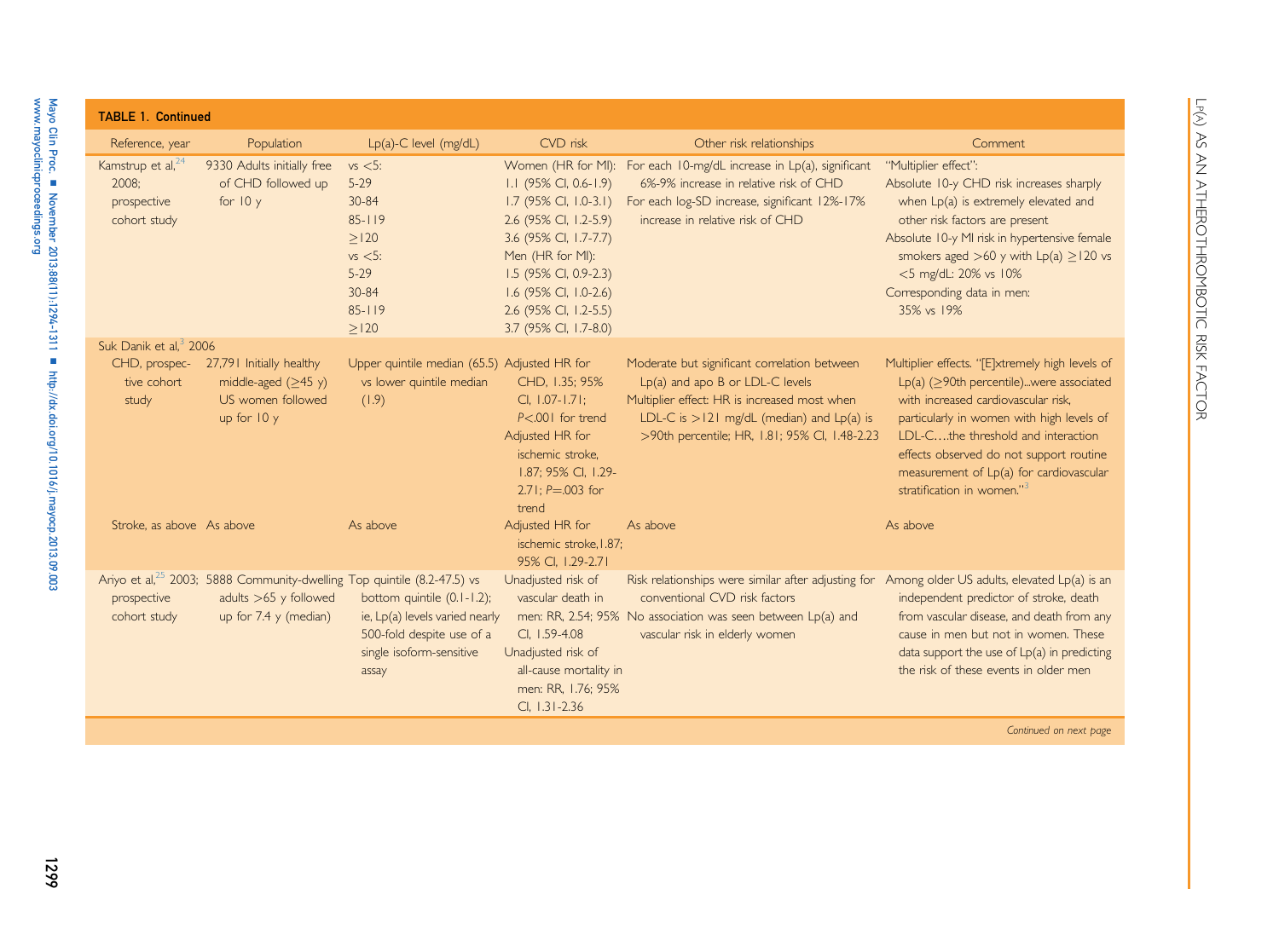| <b>TABLE 1. Continued</b>                                             |                                                               |                                                                                                                                                                                                                       |                                                                                                                                                                                                                                                |                                                                                                                                                                                                                                    |                                                                                                                                                                                                                                                                                                              |
|-----------------------------------------------------------------------|---------------------------------------------------------------|-----------------------------------------------------------------------------------------------------------------------------------------------------------------------------------------------------------------------|------------------------------------------------------------------------------------------------------------------------------------------------------------------------------------------------------------------------------------------------|------------------------------------------------------------------------------------------------------------------------------------------------------------------------------------------------------------------------------------|--------------------------------------------------------------------------------------------------------------------------------------------------------------------------------------------------------------------------------------------------------------------------------------------------------------|
| Reference, year                                                       | Population                                                    | $Lp(a)-C$ level (mg/dL)                                                                                                                                                                                               | CVD risk                                                                                                                                                                                                                                       | Other risk relationships                                                                                                                                                                                                           | Comment                                                                                                                                                                                                                                                                                                      |
| Kamstrup et al, <sup>24</sup><br>2008:<br>prospective<br>cohort study | 9330 Adults initially free<br>of CHD followed up<br>for $10y$ | $vs < 5$ :<br>$5-29$<br>30-84<br>$85 - 119$<br>>120<br>$vs < 5$ :<br>$5-29$<br>30-84<br>$85 - 119$<br>>120                                                                                                            | Women (HR for MI):<br>I.I (95% CI, 0.6-1.9)<br>1.7 (95% CI, 1.0-3.1)<br>2.6 (95% CI, 1.2-5.9)<br>3.6 (95% CI, 1.7-7.7)<br>Men (HR for MI):<br>1.5 (95% CI, 0.9-2.3)<br>1.6 (95% CI, 1.0-2.6)<br>2.6 (95% CI, 1.2-5.5)<br>3.7 (95% CI, 1.7-8.0) | For each 10-mg/dL increase in Lp(a), significant<br>6%-9% increase in relative risk of CHD<br>For each log-SD increase, significant 12%-17%<br>increase in relative risk of CHD                                                    | "Multiplier effect":<br>Absolute 10-y CHD risk increases sharply<br>when Lp(a) is extremely elevated and<br>other risk factors are present<br>Absolute 10-y MI risk in hypertensive female<br>smokers aged >60 y with $Lp(a) \ge 120$ vs<br><5 mg/dL: 20% vs 10%<br>Corresponding data in men:<br>35% vs 19% |
| Suk Danik et al, <sup>3</sup> 2006<br>CHD, prospec-                   | 27,791 Initially healthy                                      | Upper quintile median (65.5) Adjusted HR for                                                                                                                                                                          |                                                                                                                                                                                                                                                | Moderate but significant correlation between                                                                                                                                                                                       | Multiplier effects. "[E]xtremely high levels of                                                                                                                                                                                                                                                              |
| tive cohort<br>study                                                  | middle-aged $(≥45 y)$<br>US women followed<br>up for $10y$    | vs lower quintile median<br>(1.9)                                                                                                                                                                                     | CHD, 1.35; 95%<br>$Cl, 1.07 - 1.71;$<br>$P<.001$ for trend<br>Adjusted HR for<br>ischemic stroke,<br>1.87; 95% CI, 1.29-<br>$2.71: P = 0.003$ for<br>trend                                                                                     | Lp(a) and apo B or LDL-C levels<br>Multiplier effect: HR is increased most when<br>LDL-C is $>121$ mg/dL (median) and $Lp(a)$ is<br>>90th percentile; HR, 1.81; 95% CI, 1.48-2.23                                                  | $Lp(a)$ ( $>$ 90th percentile)were associated<br>with increased cardiovascular risk.<br>particularly in women with high levels of<br>LDL-C, the threshold and interaction<br>effects observed do not support routine<br>measurement of Lp(a) for cardiovascular<br>stratification in women."3                |
| Stroke, as above As above                                             |                                                               | As above                                                                                                                                                                                                              | Adjusted HR for<br>ischemic stroke. I.87:<br>95% Cl, 1.29-2.71                                                                                                                                                                                 | As above                                                                                                                                                                                                                           | As above                                                                                                                                                                                                                                                                                                     |
| prospective<br>cohort study                                           | adults $>65$ y followed<br>up for 7.4 y (median)              | Ariyo et al, <sup>25</sup> 2003; 5888 Community-dwelling Top quintile (8.2-47.5) vs<br>bottom quintile (0.1-1.2);<br>ie, Lp(a) levels varied nearly<br>500-fold despite use of a<br>single isoform-sensitive<br>assay | Unadjusted risk of<br>vascular death in<br>CI, 1.59-4.08<br>Unadjusted risk of<br>all-cause mortality in<br>men: RR, 1.76; 95%<br>$Cl, 1.31 - 2.36$                                                                                            | Risk relationships were similar after adjusting for Among older US adults, elevated Lp(a) is an<br>conventional CVD risk factors<br>men: RR, 2.54; 95% No association was seen between Lp(a) and<br>vascular risk in elderly women | independent predictor of stroke, death<br>from vascular disease, and death from any<br>cause in men but not in women. These<br>data support the use of $Lp(a)$ in predicting<br>the risk of these events in older men                                                                                        |
|                                                                       |                                                               |                                                                                                                                                                                                                       |                                                                                                                                                                                                                                                |                                                                                                                                                                                                                                    | Continued on next page                                                                                                                                                                                                                                                                                       |

Mayo Clin Proc.

n

[www.mayoclinicproceedings.org](http://www.mayoclinicproceedings.org)

November 2013;88(11):1294-1311

n

<http://dx.doi.org/10.1016/j.mayocp.2013.09.003>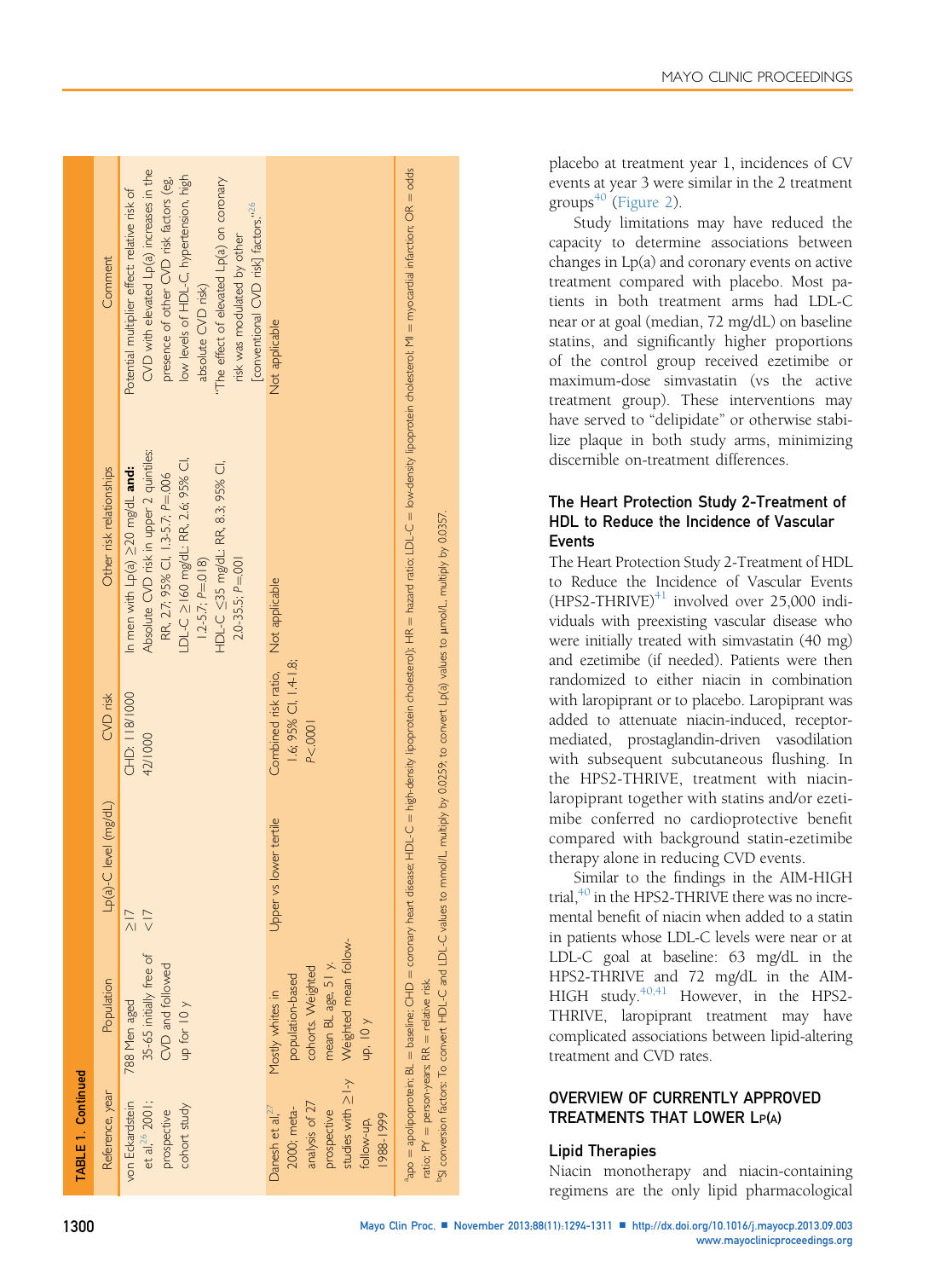|  |  | MAYO CLINIC PROCEEDINGS |
|--|--|-------------------------|
|--|--|-------------------------|

<span id="page-6-0"></span>

| TABLE 1. Continued                                                                                                    |                                                                                                                             |                                                                                                                                                 |                                                         |                                                                                                                                                                                                                                                         |                                                                                                                                                                                                                                                                                                                                          |
|-----------------------------------------------------------------------------------------------------------------------|-----------------------------------------------------------------------------------------------------------------------------|-------------------------------------------------------------------------------------------------------------------------------------------------|---------------------------------------------------------|---------------------------------------------------------------------------------------------------------------------------------------------------------------------------------------------------------------------------------------------------------|------------------------------------------------------------------------------------------------------------------------------------------------------------------------------------------------------------------------------------------------------------------------------------------------------------------------------------------|
| Reference, year                                                                                                       | Population                                                                                                                  | Lp(a)-C level (mg/dL)                                                                                                                           | CVD risk                                                | Other risk relationships                                                                                                                                                                                                                                | Comment                                                                                                                                                                                                                                                                                                                                  |
| von Eckardstein<br>et al, 26 2001;<br>cohort study<br>prospective                                                     | 35-65 initially free of<br>CVD and followed<br>788 Men aged<br>up for $10y$                                                 | $\frac{1}{2}$<br>$rac{1}{\sqrt{2}}$                                                                                                             | CHD: 118/1000<br>42/1000                                | Absolute CVD risk in upper 2 quintiles:<br>LDL-C ≥160 mg/dL: RR, 2.6; 95% Cl,<br>HDL-C ≤35 mg/dL: RR, 8.3; 95% Cl,<br>In men with $Lp(a) \geq 20$ mg/dL and:<br>RR, 2.7; 95% CI, 1.3-5.7; P=.006<br>$1.2 - 5.7; P = 0.018$<br>$2.0 - 35.5$ ; $P = .001$ | $CVD$ with elevated $Lp(a)$ increases in the<br>low levels of HDL-C, hypertension, high<br>"The effect of elevated Lp(a) on coronary<br>presence of other CVD risk factors (eg,<br>Potential multiplier effect: relative risk of<br>[conventional CVD risk] factors." <sup>26</sup><br>risk was modulated by other<br>absolute CVD risk) |
| studies with ≥1-y<br>analysis of 27<br>Danesh et al, $^{27}$<br>2000; meta-<br>prospective<br>1988-1999<br>follow-up, | Weighted mean follow-<br>mean BL age, 51 y.<br>cohorts. Weighted<br>population-based<br>Mostly whites in<br>up, $10 \gamma$ | Jpper vs lower tertile                                                                                                                          | Combined risk ratio,<br>1.6; 95% CI, 1.4-1.8;<br>P<.000 | Not applicable                                                                                                                                                                                                                                          | Not applicable                                                                                                                                                                                                                                                                                                                           |
|                                                                                                                       | ratio; PY = person-years; RR = relative risk.                                                                               | "SI conversion factors: To convert HDL-C and LDL-C values to mmol/L, multiply by 0.0259; to convert Lp(a) values to µmol/L, multiply by 0.0357. |                                                         |                                                                                                                                                                                                                                                         | <sup>a</sup> po = apolipoprotein; BL = baseline; CHD = coronary heart disease; HDL-C = high-density lipoprotein cholestero); HR = hazard ratio; LDL-C = low-density lipoprotein cholesterol; M = myocardial infarction; OR = odds                                                                                                        |

placebo at treatment year 1, incidences of CV events at year 3 were similar in the 2 treatment groups $40$  ([Figure 2\)](#page-7-0).

Study limitations may have reduced the capacity to determine associations between changes in Lp(a) and coronary events on active treatment compared with placebo. Most patients in both treatment arms had LDL-C near or at goal (median, 72 mg/dL) on baseline statins, and significantly higher proportions of the control group received ezetimibe or maximum-dose simvastatin (vs the active treatment group). These interventions may have served to "delipidate" or otherwise stabilize plaque in both study arms, minimizing discernible on-treatment differences.

# The Heart Protection Study 2-Treatment of HDL to Reduce the Incidence of Vascular Events

The Heart Protection Study 2-Treatment of HDL to Reduce the Incidence of Vascular Events  $(HPS2-THRIVE)^{41}$  involved over 25,000 individuals with preexisting vascular disease who were initially treated with simvastatin (40 mg) and ezetimibe (if needed). Patients were then randomized to either niacin in combination with laropiprant or to placebo. Laropiprant was added to attenuate niacin-induced, receptormediated, prostaglandin-driven vasodilation with subsequent subcutaneous flushing. In the HPS2-THRIVE, treatment with niacinlaropiprant together with statins and/or ezetimibe conferred no cardioprotective benefit compared with background statin-ezetimibe therapy alone in reducing CVD events.

Similar to the findings in the AIM-HIGH trial, $^{40}$  in the HPS2-THRIVE there was no incremental benefit of niacin when added to a statin in patients whose LDL-C levels were near or at LDL-C goal at baseline: 63 mg/dL in the HPS2-THRIVE and 72 mg/dL in the AIM-HIGH study.<sup>40,41</sup> However, in the HPS2-THRIVE, laropiprant treatment may have complicated associations between lipid-altering treatment and CVD rates.

# OVERVIEW OF CURRENTLY APPROVED TREATMENTS THAT LOWER LP(A)

# Lipid Therapies

Niacin monotherapy and niacin-containing regimens are the only lipid pharmacological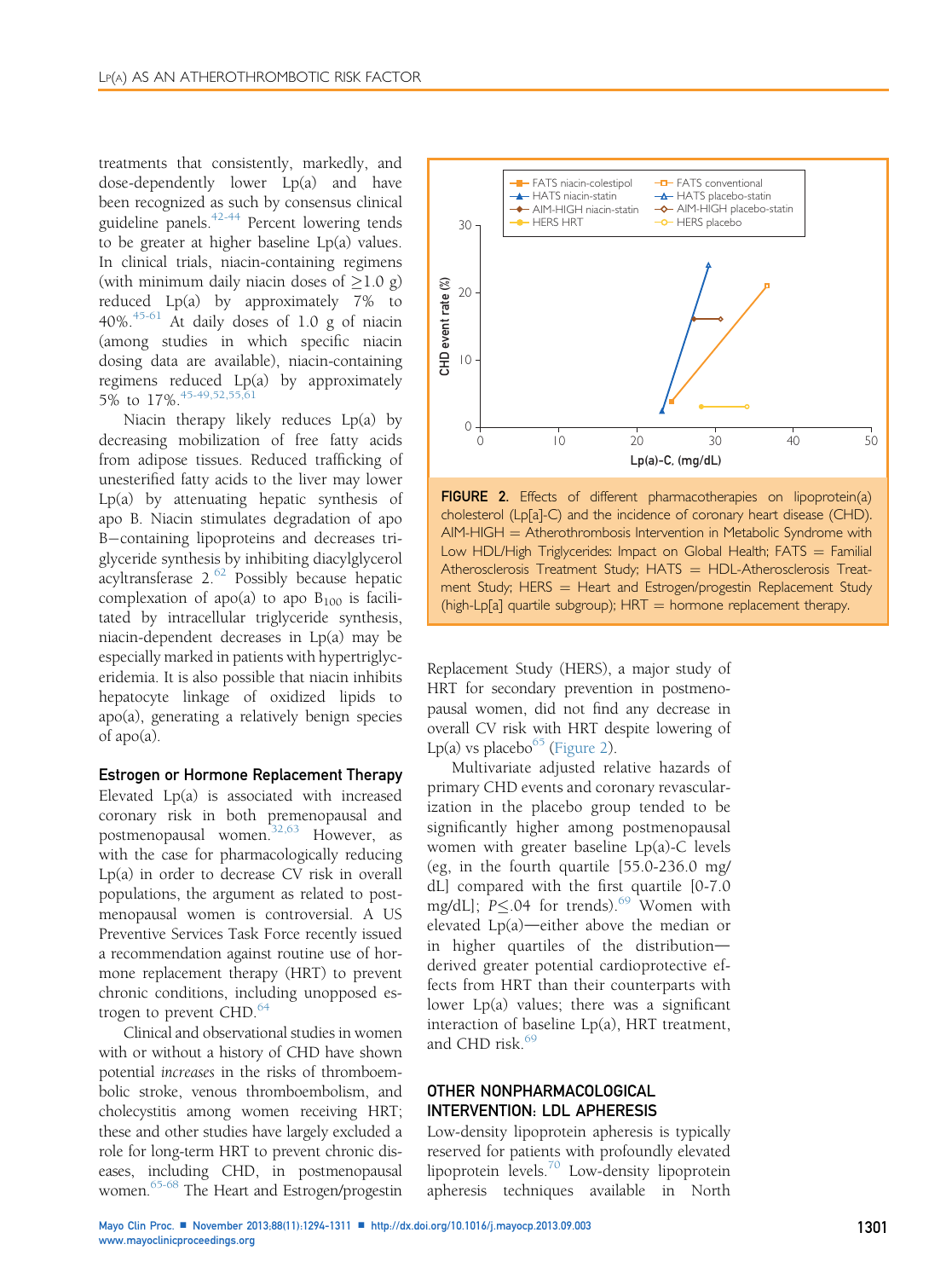<span id="page-7-0"></span>treatments that consistently, markedly, and dose-dependently lower Lp(a) and have been recognized as such by consensus clinical guideline panels. $42-44$  Percent lowering tends to be greater at higher baseline Lp(a) values. In clinical trials, niacin-containing regimens (with minimum daily niacin doses of  $\geq$ 1.0 g) reduced Lp(a) by approximately 7% to 40%. $45-61$  At daily doses of 1.0 g of niacin (among studies in which specific niacin dosing data are available), niacin-containing regimens reduced Lp(a) by approximately 5% to  $17\%$ .  $45-49,52,55,61$ 

Niacin therapy likely reduces Lp(a) by decreasing mobilization of free fatty acids from adipose tissues. Reduced trafficking of unesterified fatty acids to the liver may lower Lp(a) by attenuating hepatic synthesis of apo B. Niacin stimulates degradation of apo B-containing lipoproteins and decreases triglyceride synthesis by inhibiting diacylglycerol acyltransferase 2.<sup>[62](#page-15-0)</sup> Possibly because hepatic complexation of apo(a) to apo  $B_{100}$  is facilitated by intracellular triglyceride synthesis, niacin-dependent decreases in Lp(a) may be especially marked in patients with hypertriglyceridemia. It is also possible that niacin inhibits hepatocyte linkage of oxidized lipids to apo(a), generating a relatively benign species of apo(a).

### Estrogen or Hormone Replacement Therapy

Elevated Lp(a) is associated with increased coronary risk in both premenopausal and postmenopausal women.<sup>32,63</sup> However, as with the case for pharmacologically reducing Lp(a) in order to decrease CV risk in overall populations, the argument as related to postmenopausal women is controversial. A US Preventive Services Task Force recently issued a recommendation against routine use of hormone replacement therapy (HRT) to prevent chronic conditions, including unopposed estrogen to prevent  $CHD.<sup>64</sup>$  $CHD.<sup>64</sup>$  $CHD.<sup>64</sup>$ 

Clinical and observational studies in women with or without a history of CHD have shown potential increases in the risks of thromboembolic stroke, venous thromboembolism, and cholecystitis among women receiving HRT; these and other studies have largely excluded a role for long-term HRT to prevent chronic diseases, including CHD, in postmenopausal women.<sup>65-68</sup> The Heart and Estrogen/progestin



FIGURE 2. Effects of different pharmacotherapies on lipoprotein(a) cholesterol (Lp[a]-C) and the incidence of coronary heart disease (CHD).  $AIM-HIGH =$  Atherothrombosis Intervention in Metabolic Syndrome with Low HDL/High Triglycerides: Impact on Global Health;  $FATS = Familial$ Atherosclerosis Treatment Study;  $HATS = HDL-A$ therosclerosis Treatment Study; HERS  $=$  Heart and Estrogen/progestin Replacement Study (high-Lp[a] quartile subgroup);  $HRT =$  hormone replacement therapy.

Replacement Study (HERS), a major study of HRT for secondary prevention in postmenopausal women, did not find any decrease in overall CV risk with HRT despite lowering of Lp(a) vs placebo $^{65}$  (Figure 2).

Multivariate adjusted relative hazards of primary CHD events and coronary revascularization in the placebo group tended to be significantly higher among postmenopausal women with greater baseline Lp(a)-C levels (eg, in the fourth quartile [55.0-236.0 mg/ dL] compared with the first quartile [0-7.0 mg/dL];  $P \le 0.04$  for trends).<sup>[69](#page-16-0)</sup> Women with elevated  $Lp(a)$ —either above the median or in higher quartiles of the distributionderived greater potential cardioprotective effects from HRT than their counterparts with lower  $Lp(a)$  values; there was a significant interaction of baseline Lp(a), HRT treatment, and CHD risk. $69$ 

## OTHER NONPHARMACOLOGICAL INTERVENTION: LDL APHERESIS

Low-density lipoprotein apheresis is typically reserved for patients with profoundly elevated lipoprotein levels.[70](#page-16-0) Low-density lipoprotein apheresis techniques available in North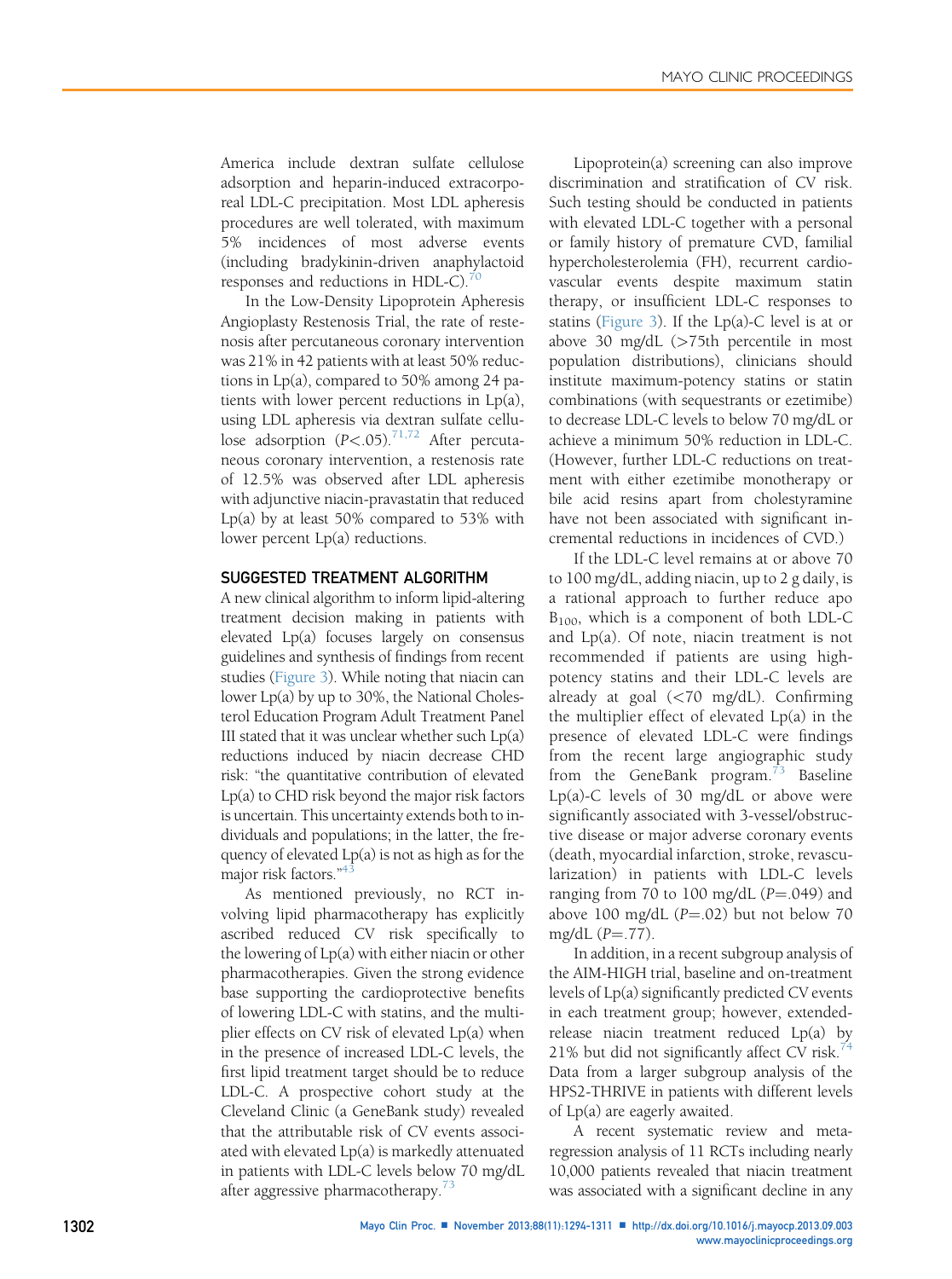America include dextran sulfate cellulose adsorption and heparin-induced extracorporeal LDL-C precipitation. Most LDL apheresis procedures are well tolerated, with maximum 5% incidences of most adverse events (including bradykinin-driven anaphylactoid responses and reductions in HDL-C). $\frac{70}{2}$  $\frac{70}{2}$  $\frac{70}{2}$ 

In the Low-Density Lipoprotein Apheresis Angioplasty Restenosis Trial, the rate of restenosis after percutaneous coronary intervention was 21% in 42 patients with at least 50% reductions in Lp(a), compared to 50% among 24 patients with lower percent reductions in Lp(a), using LDL apheresis via dextran sulfate cellulose adsorption  $(P<.05)^{71,72}$  $(P<.05)^{71,72}$  $(P<.05)^{71,72}$  After percutaneous coronary intervention, a restenosis rate of 12.5% was observed after LDL apheresis with adjunctive niacin-pravastatin that reduced Lp(a) by at least 50% compared to 53% with lower percent Lp(a) reductions.

#### SUGGESTED TREATMENT ALGORITHM

A new clinical algorithm to inform lipid-altering treatment decision making in patients with elevated Lp(a) focuses largely on consensus guidelines and synthesis of findings from recent studies [\(Figure 3\)](#page-9-0). While noting that niacin can lower Lp(a) by up to 30%, the National Cholesterol Education Program Adult Treatment Panel III stated that it was unclear whether such  $Lp(a)$ reductions induced by niacin decrease CHD risk: "the quantitative contribution of elevated Lp(a) to CHD risk beyond the major risk factors is uncertain. This uncertainty extends both to individuals and populations; in the latter, the frequency of elevated Lp(a) is not as high as for the major risk factors."<sup>[43](#page-15-0)</sup>

As mentioned previously, no RCT involving lipid pharmacotherapy has explicitly ascribed reduced CV risk specifically to the lowering of Lp(a) with either niacin or other pharmacotherapies. Given the strong evidence base supporting the cardioprotective benefits of lowering LDL-C with statins, and the multiplier effects on CV risk of elevated Lp(a) when in the presence of increased LDL-C levels, the first lipid treatment target should be to reduce LDL-C. A prospective cohort study at the Cleveland Clinic (a GeneBank study) revealed that the attributable risk of CV events associated with elevated Lp(a) is markedly attenuated in patients with LDL-C levels below 70 mg/dL after aggressive pharmacotherapy. $\frac{73}{3}$  $\frac{73}{3}$  $\frac{73}{3}$ 

Lipoprotein(a) screening can also improve discrimination and stratification of CV risk. Such testing should be conducted in patients with elevated LDL-C together with a personal or family history of premature CVD, familial hypercholesterolemia (FH), recurrent cardiovascular events despite maximum statin therapy, or insufficient LDL-C responses to statins [\(Figure 3\)](#page-9-0). If the Lp(a)-C level is at or above 30 mg/dL (>75th percentile in most population distributions), clinicians should institute maximum-potency statins or statin combinations (with sequestrants or ezetimibe) to decrease LDL-C levels to below 70 mg/dL or achieve a minimum 50% reduction in LDL-C. (However, further LDL-C reductions on treatment with either ezetimibe monotherapy or bile acid resins apart from cholestyramine have not been associated with significant incremental reductions in incidences of CVD.)

If the LDL-C level remains at or above 70 to 100 mg/dL, adding niacin, up to 2 g daily, is a rational approach to further reduce apo B100, which is a component of both LDL-C and Lp(a). Of note, niacin treatment is not recommended if patients are using highpotency statins and their LDL-C levels are already at goal (<70 mg/dL). Confirming the multiplier effect of elevated Lp(a) in the presence of elevated LDL-C were findings from the recent large angiographic study from the GeneBank program.<sup>[73](#page-16-0)</sup> Baseline Lp(a)-C levels of 30 mg/dL or above were significantly associated with 3-vessel/obstructive disease or major adverse coronary events (death, myocardial infarction, stroke, revascularization) in patients with LDL-C levels ranging from 70 to 100 mg/dL  $(P=.049)$  and above 100 mg/dL  $(P=.02)$  but not below 70 mg/dL  $(P=.77)$ .

In addition, in a recent subgroup analysis of the AIM-HIGH trial, baseline and on-treatment levels of Lp(a) significantly predicted CV events in each treatment group; however, extendedrelease niacin treatment reduced Lp(a) by 21% but did not significantly affect CV risk. $44$ Data from a larger subgroup analysis of the HPS2-THRIVE in patients with different levels of Lp(a) are eagerly awaited.

A recent systematic review and metaregression analysis of 11 RCTs including nearly 10,000 patients revealed that niacin treatment was associated with a significant decline in any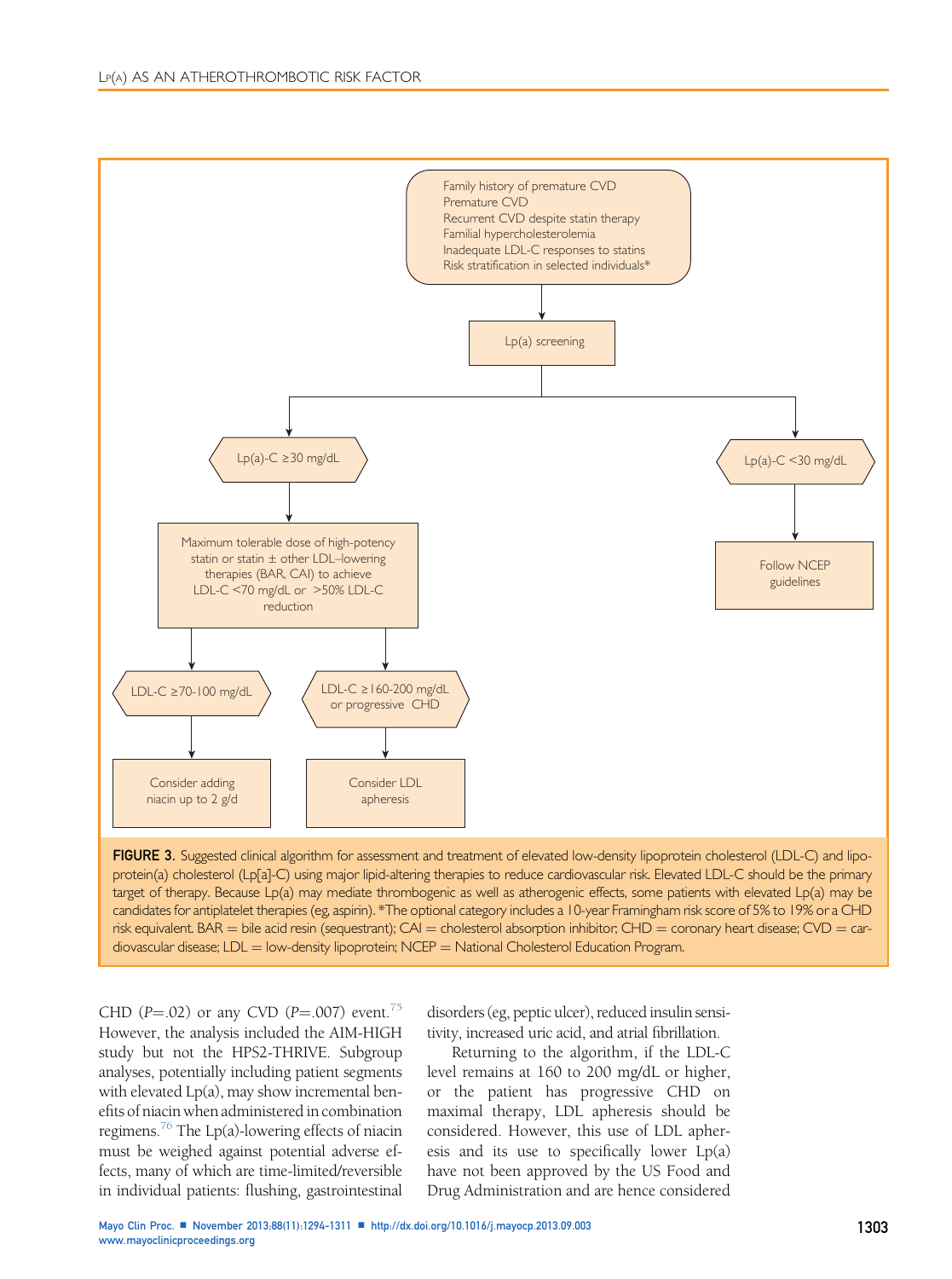<span id="page-9-0"></span>

FIGURE 3. Suggested clinical algorithm for assessment and treatment of elevated low-density lipoprotein cholesterol (LDL-C) and lipoprotein(a) cholesterol (Lp[a]-C) using major lipid-altering therapies to reduce cardiovascular risk. Elevated LDL-C should be the primary target of therapy. Because Lp(a) may mediate thrombogenic as well as atherogenic effects, some patients with elevated Lp(a) may be candidates for antiplatelet therapies (eg, aspirin). \*The optional category includes a 10-year Framingham risk score of 5% to 19% or a CHD risk equivalent. BAR = bile acid resin (sequestrant); CAI = cholesterol absorption inhibitor; CHD = coronary heart disease; CVD = cardiovascular disease; LDL = low-density lipoprotein; NCEP = National Cholesterol Education Program.

CHD (P=.02) or any CVD (P=.007) event.<sup>75</sup> However, the analysis included the AIM-HIGH study but not the HPS2-THRIVE. Subgroup analyses, potentially including patient segments with elevated Lp(a), may show incremental benefits of niacin when administered in combination regimens.<sup>76</sup> The Lp(a)-lowering effects of niacin must be weighed against potential adverse effects, many of which are time-limited/reversible in individual patients: flushing, gastrointestinal

disorders (eg, peptic ulcer), reduced insulin sensitivity, increased uric acid, and atrial fibrillation.

Returning to the algorithm, if the LDL-C level remains at 160 to 200 mg/dL or higher, or the patient has progressive CHD on maximal therapy, LDL apheresis should be considered. However, this use of LDL apheresis and its use to specifically lower Lp(a) have not been approved by the US Food and Drug Administration and are hence considered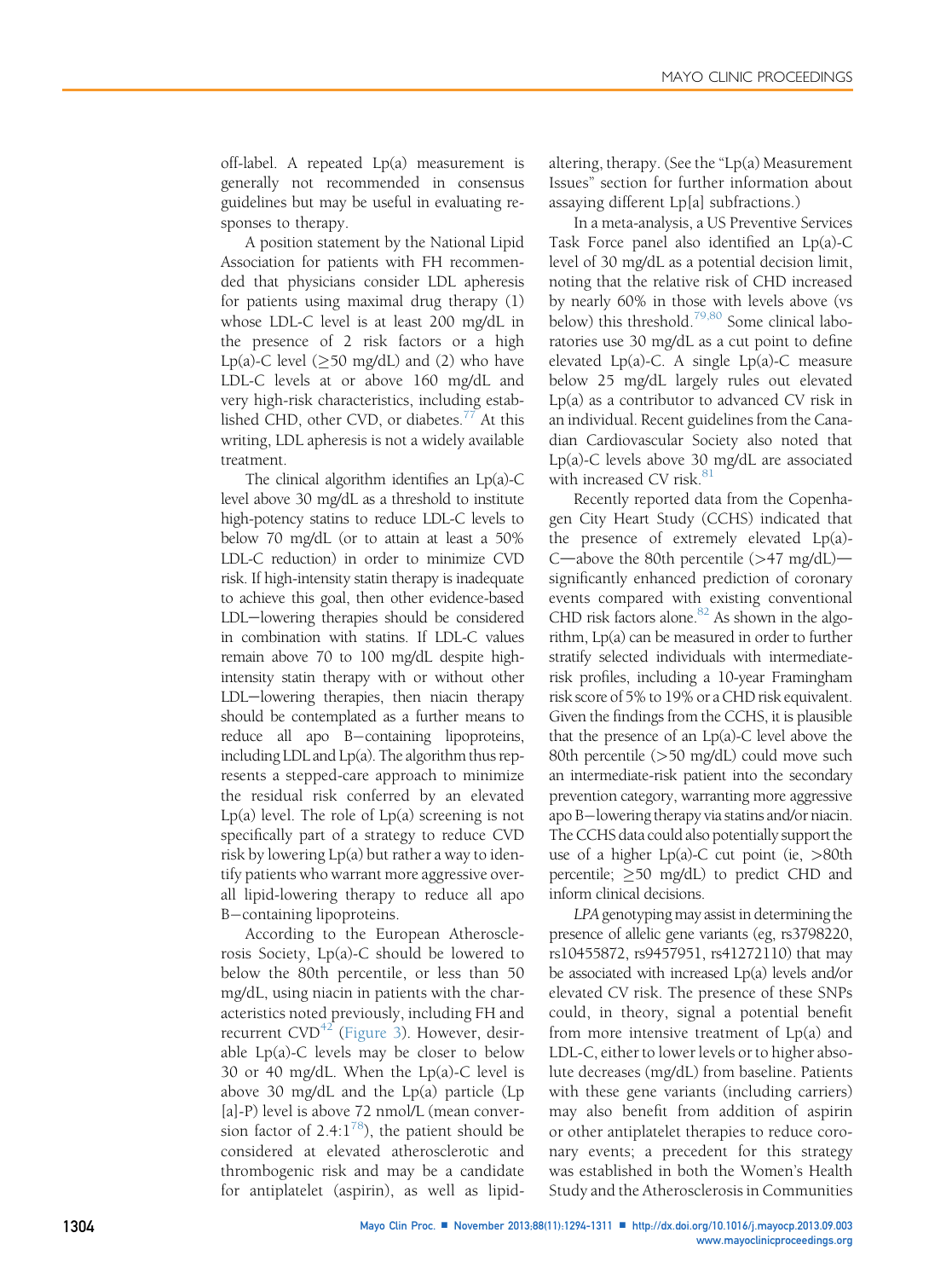off-label. A repeated Lp(a) measurement is generally not recommended in consensus guidelines but may be useful in evaluating responses to therapy.

A position statement by the National Lipid Association for patients with FH recommended that physicians consider LDL apheresis for patients using maximal drug therapy (1) whose LDL-C level is at least 200 mg/dL in the presence of 2 risk factors or a high Lp(a)-C level ( $\geq$ 50 mg/dL) and (2) who have LDL-C levels at or above 160 mg/dL and very high-risk characteristics, including established CHD, other CVD, or diabetes. $^{77}$  At this writing, LDL apheresis is not a widely available treatment.

The clinical algorithm identifies an  $Lp(a)-C$ level above 30 mg/dL as a threshold to institute high-potency statins to reduce LDL-C levels to below 70 mg/dL (or to attain at least a 50% LDL-C reduction) in order to minimize CVD risk. If high-intensity statin therapy is inadequate to achieve this goal, then other evidence-based LDL-lowering therapies should be considered in combination with statins. If LDL-C values remain above 70 to 100 mg/dL despite highintensity statin therapy with or without other LDL-lowering therapies, then niacin therapy should be contemplated as a further means to reduce all apo B-containing lipoproteins, including LDL and Lp(a). The algorithm thus represents a stepped-care approach to minimize the residual risk conferred by an elevated Lp(a) level. The role of  $Lp(a)$  screening is not specifically part of a strategy to reduce CVD risk by lowering Lp(a) but rather a way to identify patients who warrant more aggressive overall lipid-lowering therapy to reduce all apo B-containing lipoproteins.

According to the European Atherosclerosis Society, Lp(a)-C should be lowered to below the 80th percentile, or less than 50 mg/dL, using niacin in patients with the characteristics noted previously, including FH and recurrent CVD<sup>[42](#page-15-0)</sup> ([Figure 3](#page-9-0)). However, desirable Lp(a)-C levels may be closer to below 30 or 40 mg/dL. When the Lp(a)-C level is above 30 mg/dL and the Lp(a) particle (Lp [a]-P) level is above 72 nmol/L (mean conversion factor of  $2.4:1^{78}$  $2.4:1^{78}$  $2.4:1^{78}$ , the patient should be considered at elevated atherosclerotic and thrombogenic risk and may be a candidate for antiplatelet (aspirin), as well as lipidaltering, therapy. (See the "Lp(a) Measurement Issues" section for further information about assaying different Lp[a] subfractions.)

In a meta-analysis, a US Preventive Services Task Force panel also identified an Lp(a)-C level of 30 mg/dL as a potential decision limit, noting that the relative risk of CHD increased by nearly 60% in those with levels above (vs below) this threshold.<sup>[79,80](#page-16-0)</sup> Some clinical laboratories use 30 mg/dL as a cut point to define elevated Lp(a)-C. A single Lp(a)-C measure below 25 mg/dL largely rules out elevated Lp(a) as a contributor to advanced CV risk in an individual. Recent guidelines from the Canadian Cardiovascular Society also noted that Lp(a)-C levels above 30 mg/dL are associated with increased CV risk.<sup>[81](#page-16-0)</sup>

Recently reported data from the Copenhagen City Heart Study (CCHS) indicated that the presence of extremely elevated Lp(a)- C—above the 80th percentile  $(>47 \text{ mg/dL})$  significantly enhanced prediction of coronary events compared with existing conventional CHD risk factors alone. $82$  As shown in the algorithm, Lp(a) can be measured in order to further stratify selected individuals with intermediaterisk profiles, including a 10-year Framingham risk score of 5% to 19% or a CHD risk equivalent. Given the findings from the CCHS, it is plausible that the presence of an  $Lp(a)-C$  level above the 80th percentile (>50 mg/dL) could move such an intermediate-risk patient into the secondary prevention category, warranting more aggressive apo B-lowering therapy via statins and/or niacin. The CCHS data could also potentially support the use of a higher  $Lp(a)-C$  cut point (ie,  $>80$ th percentile;  $\geq$  50 mg/dL) to predict CHD and inform clinical decisions.

LPA genotyping may assist in determining the presence of allelic gene variants (eg, rs3798220, rs10455872, rs9457951, rs41272110) that may be associated with increased Lp(a) levels and/or elevated CV risk. The presence of these SNPs could, in theory, signal a potential benefit from more intensive treatment of Lp(a) and LDL-C, either to lower levels or to higher absolute decreases (mg/dL) from baseline. Patients with these gene variants (including carriers) may also benefit from addition of aspirin or other antiplatelet therapies to reduce coronary events; a precedent for this strategy was established in both the Women's Health Study and the Atherosclerosis in Communities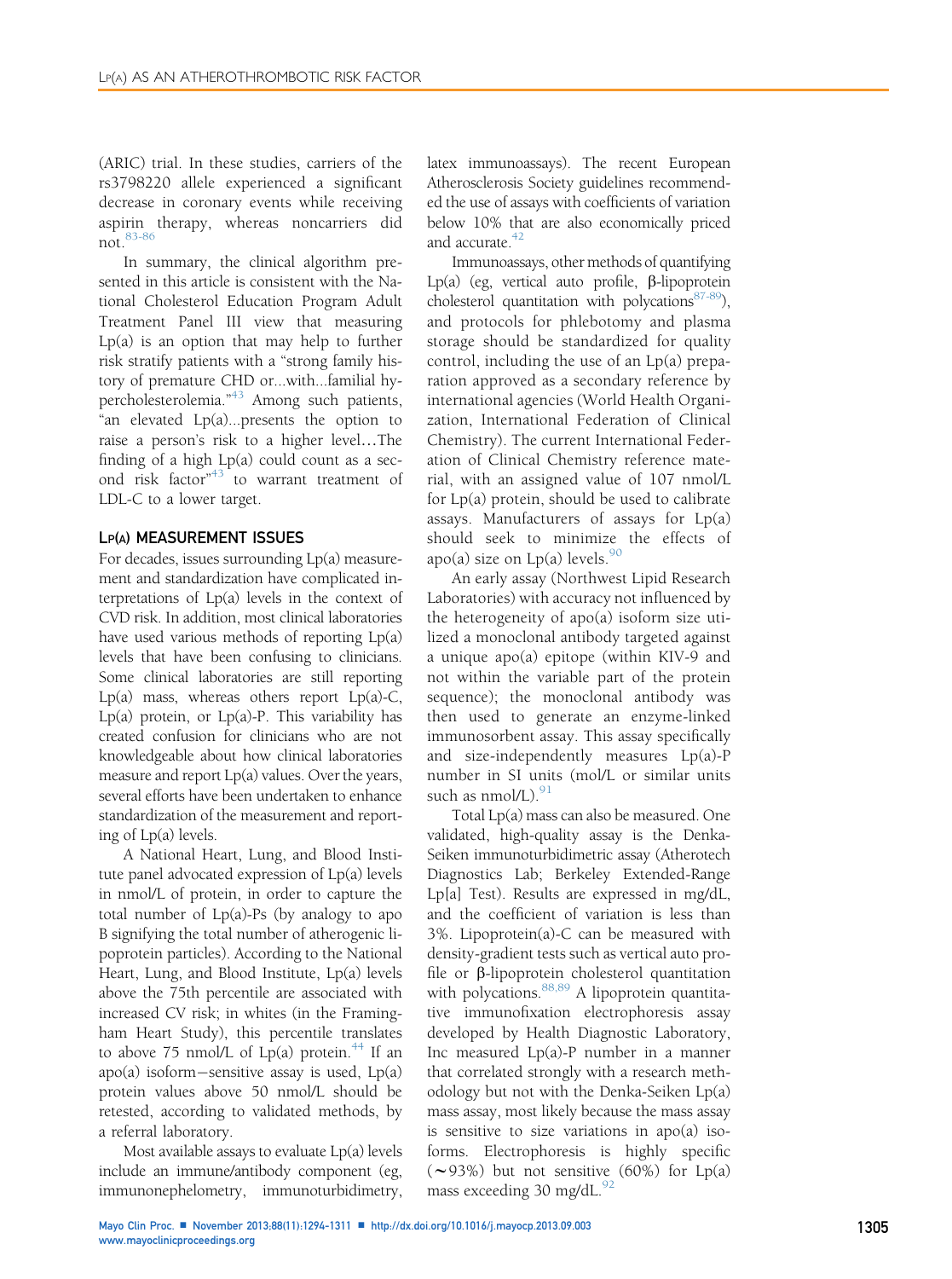(ARIC) trial. In these studies, carriers of the rs3798220 allele experienced a significant decrease in coronary events while receiving aspirin therapy, whereas noncarriers did not.[83-86](#page-16-0)

In summary, the clinical algorithm presented in this article is consistent with the National Cholesterol Education Program Adult Treatment Panel III view that measuring Lp(a) is an option that may help to further risk stratify patients with a "strong family history of premature CHD or...with...familial hypercholesterolemia." [43](#page-15-0) Among such patients, "an elevated Lp(a)...presents the option to raise a person's risk to a higher level...The finding of a high Lp(a) could count as a sec-ond risk factor"<sup>[43](#page-15-0)</sup> to warrant treatment of LDL-C to a lower target.

#### LP(A) MEASUREMENT ISSUES

For decades, issues surrounding Lp(a) measurement and standardization have complicated interpretations of Lp(a) levels in the context of CVD risk. In addition, most clinical laboratories have used various methods of reporting Lp(a) levels that have been confusing to clinicians. Some clinical laboratories are still reporting Lp(a) mass, whereas others report  $Lp(a)-C$ , Lp(a) protein, or Lp(a)-P. This variability has created confusion for clinicians who are not knowledgeable about how clinical laboratories measure and report Lp(a) values. Over the years, several efforts have been undertaken to enhance standardization of the measurement and reporting of Lp(a) levels.

A National Heart, Lung, and Blood Institute panel advocated expression of Lp(a) levels in nmol/L of protein, in order to capture the total number of  $Lp(a)$ -Ps (by analogy to apo B signifying the total number of atherogenic lipoprotein particles). According to the National Heart, Lung, and Blood Institute, Lp(a) levels above the 75th percentile are associated with increased CV risk; in whites (in the Framingham Heart Study), this percentile translates to above 75 nmol/L of Lp(a) protein.<sup>[44](#page-15-0)</sup> If an  $apo(a)$  isoform-sensitive assay is used,  $Lp(a)$ protein values above 50 nmol/L should be retested, according to validated methods, by a referral laboratory.

Most available assays to evaluate Lp(a) levels include an immune/antibody component (eg, immunonephelometry, immunoturbidimetry,

latex immunoassays). The recent European Atherosclerosis Society guidelines recommended the use of assays with coefficients of variation below 10% that are also economically priced and accurate. $42$ 

Immunoassays, other methods of quantifying Lp(a) (eg, vertical auto profile,  $\beta$ -lipoprotein cholesterol quantitation with polycations $87-89$ ), and protocols for phlebotomy and plasma storage should be standardized for quality control, including the use of an Lp(a) preparation approved as a secondary reference by international agencies (World Health Organization, International Federation of Clinical Chemistry). The current International Federation of Clinical Chemistry reference material, with an assigned value of 107 nmol/L for Lp(a) protein, should be used to calibrate assays. Manufacturers of assays for Lp(a) should seek to minimize the effects of apo(a) size on  $Lp(a)$  levels.<sup>[90](#page-16-0)</sup>

An early assay (Northwest Lipid Research Laboratories) with accuracy not influenced by the heterogeneity of apo(a) isoform size utilized a monoclonal antibody targeted against a unique apo(a) epitope (within KIV-9 and not within the variable part of the protein sequence); the monoclonal antibody was then used to generate an enzyme-linked immunosorbent assay. This assay specifically and size-independently measures Lp(a)-P number in SI units (mol/L or similar units such as  $nmol/L$ ).  $91$ 

Total Lp(a) mass can also be measured. One validated, high-quality assay is the Denka-Seiken immunoturbidimetric assay (Atherotech Diagnostics Lab; Berkeley Extended-Range Lp[a] Test). Results are expressed in mg/dL, and the coefficient of variation is less than 3%. Lipoprotein(a)-C can be measured with density-gradient tests such as vertical auto profile or  $\beta$ -lipoprotein cholesterol quantitation with polycations.<sup>[88,89](#page-16-0)</sup> A lipoprotein quantitative immunofixation electrophoresis assay developed by Health Diagnostic Laboratory, Inc measured Lp(a)-P number in a manner that correlated strongly with a research methodology but not with the Denka-Seiken Lp(a) mass assay, most likely because the mass assay is sensitive to size variations in  $apo(a)$  isoforms. Electrophoresis is highly specific  $(\sim 93\%)$  but not sensitive (60%) for Lp(a) mass exceeding 30 mg/dL. $^{92}$  $^{92}$  $^{92}$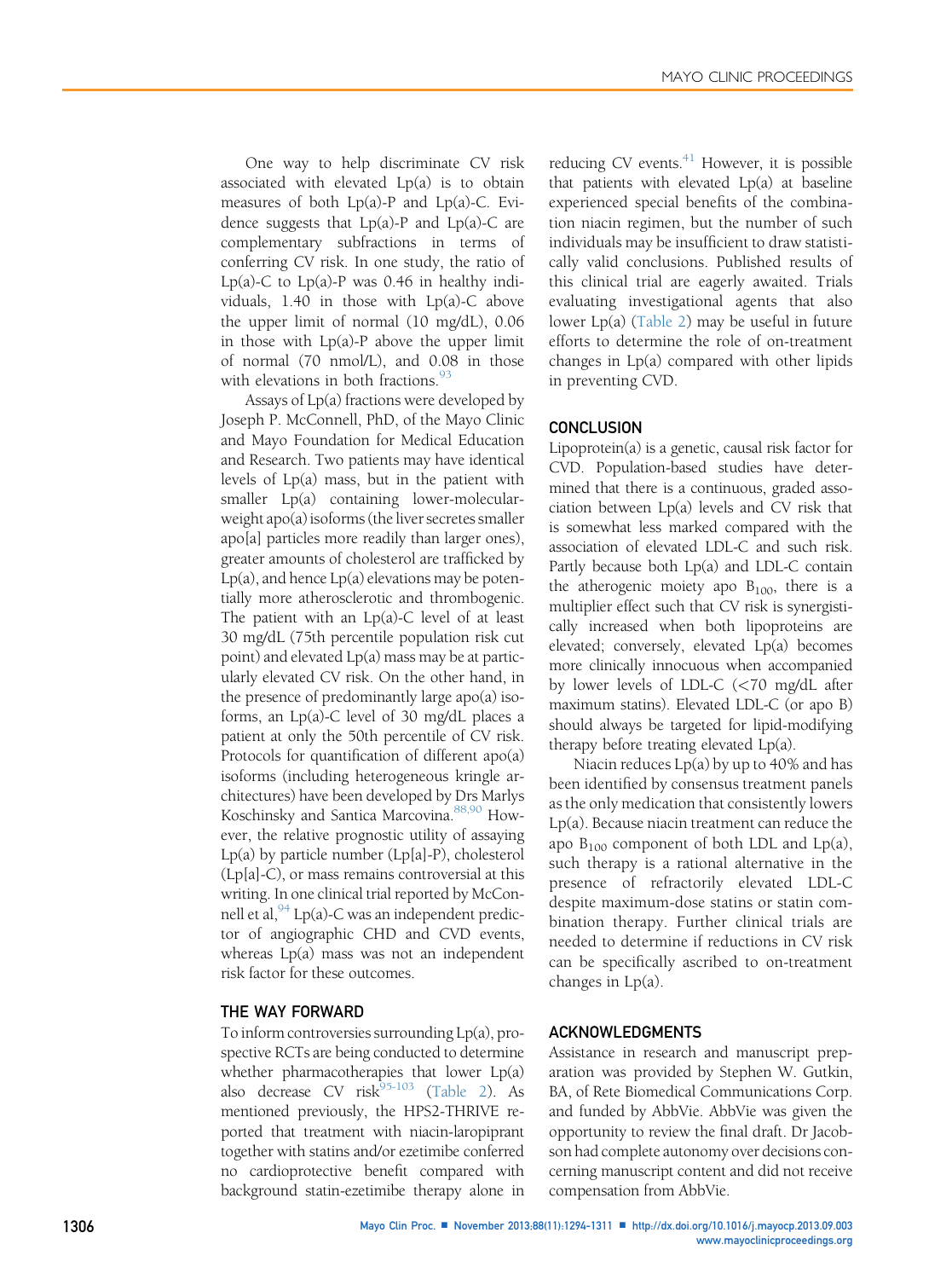One way to help discriminate CV risk associated with elevated Lp(a) is to obtain measures of both  $Lp(a)$ -P and  $Lp(a)$ -C. Evidence suggests that  $Lp(a)$ -P and  $Lp(a)$ -C are complementary subfractions in terms of conferring CV risk. In one study, the ratio of Lp(a)-C to  $Lp(a)$ -P was 0.46 in healthy individuals, 1.40 in those with Lp(a)-C above the upper limit of normal (10 mg/dL), 0.06 in those with Lp(a)-P above the upper limit of normal (70 nmol/L), and 0.08 in those with elevations in both fractions.<sup>[93](#page-16-0)</sup>

Assays of Lp(a) fractions were developed by Joseph P. McConnell, PhD, of the Mayo Clinic and Mayo Foundation for Medical Education and Research. Two patients may have identical levels of Lp(a) mass, but in the patient with smaller Lp(a) containing lower-molecularweight apo(a) isoforms (the liver secretes smaller apo[a] particles more readily than larger ones), greater amounts of cholesterol are trafficked by  $Lp(a)$ , and hence  $Lp(a)$  elevations may be potentially more atherosclerotic and thrombogenic. The patient with an Lp(a)-C level of at least 30 mg/dL (75th percentile population risk cut point) and elevated Lp(a) mass may be at particularly elevated CV risk. On the other hand, in the presence of predominantly large apo(a) isoforms, an Lp(a)-C level of 30 mg/dL places a patient at only the 50th percentile of CV risk. Protocols for quantification of different apo(a) isoforms (including heterogeneous kringle architectures) have been developed by Drs Marlys Koschinsky and Santica Marcovina.<sup>[88,90](#page-16-0)</sup> However, the relative prognostic utility of assaying Lp(a) by particle number (Lp[a]-P), cholesterol (Lp[a]-C), or mass remains controversial at this writing. In one clinical trial reported by McConnell et al,  $94$  Lp(a)-C was an independent predictor of angiographic CHD and CVD events, whereas Lp(a) mass was not an independent risk factor for these outcomes.

# THE WAY FORWARD

To inform controversies surrounding Lp(a), prospective RCTs are being conducted to determine whether pharmacotherapies that lower Lp(a) also decrease CV risk $^{95-103}$  $^{95-103}$  $^{95-103}$  [\(Table 2\)](#page-13-0). As mentioned previously, the HPS2-THRIVE reported that treatment with niacin-laropiprant together with statins and/or ezetimibe conferred no cardioprotective benefit compared with background statin-ezetimibe therapy alone in reducing CV events. $^{41}$  However, it is possible that patients with elevated Lp(a) at baseline experienced special benefits of the combination niacin regimen, but the number of such individuals may be insufficient to draw statistically valid conclusions. Published results of this clinical trial are eagerly awaited. Trials evaluating investigational agents that also lower Lp(a) [\(Table 2\)](#page-13-0) may be useful in future efforts to determine the role of on-treatment changes in Lp(a) compared with other lipids in preventing CVD.

#### **CONCLUSION**

Lipoprotein(a) is a genetic, causal risk factor for CVD. Population-based studies have determined that there is a continuous, graded association between Lp(a) levels and CV risk that is somewhat less marked compared with the association of elevated LDL-C and such risk. Partly because both Lp(a) and LDL-C contain the atherogenic moiety apo  $B_{100}$ , there is a multiplier effect such that CV risk is synergistically increased when both lipoproteins are elevated; conversely, elevated Lp(a) becomes more clinically innocuous when accompanied by lower levels of LDL-C (<70 mg/dL after maximum statins). Elevated LDL-C (or apo B) should always be targeted for lipid-modifying therapy before treating elevated Lp(a).

Niacin reduces Lp(a) by up to 40% and has been identified by consensus treatment panels as the only medication that consistently lowers Lp(a). Because niacin treatment can reduce the apo  $B_{100}$  component of both LDL and Lp(a), such therapy is a rational alternative in the presence of refractorily elevated LDL-C despite maximum-dose statins or statin combination therapy. Further clinical trials are needed to determine if reductions in CV risk can be specifically ascribed to on-treatment changes in Lp(a).

#### ACKNOWLEDGMENTS

Assistance in research and manuscript preparation was provided by Stephen W. Gutkin, BA, of Rete Biomedical Communications Corp. and funded by AbbVie. AbbVie was given the opportunity to review the final draft. Dr Jacobson had complete autonomy over decisions concerning manuscript content and did not receive compensation from AbbVie.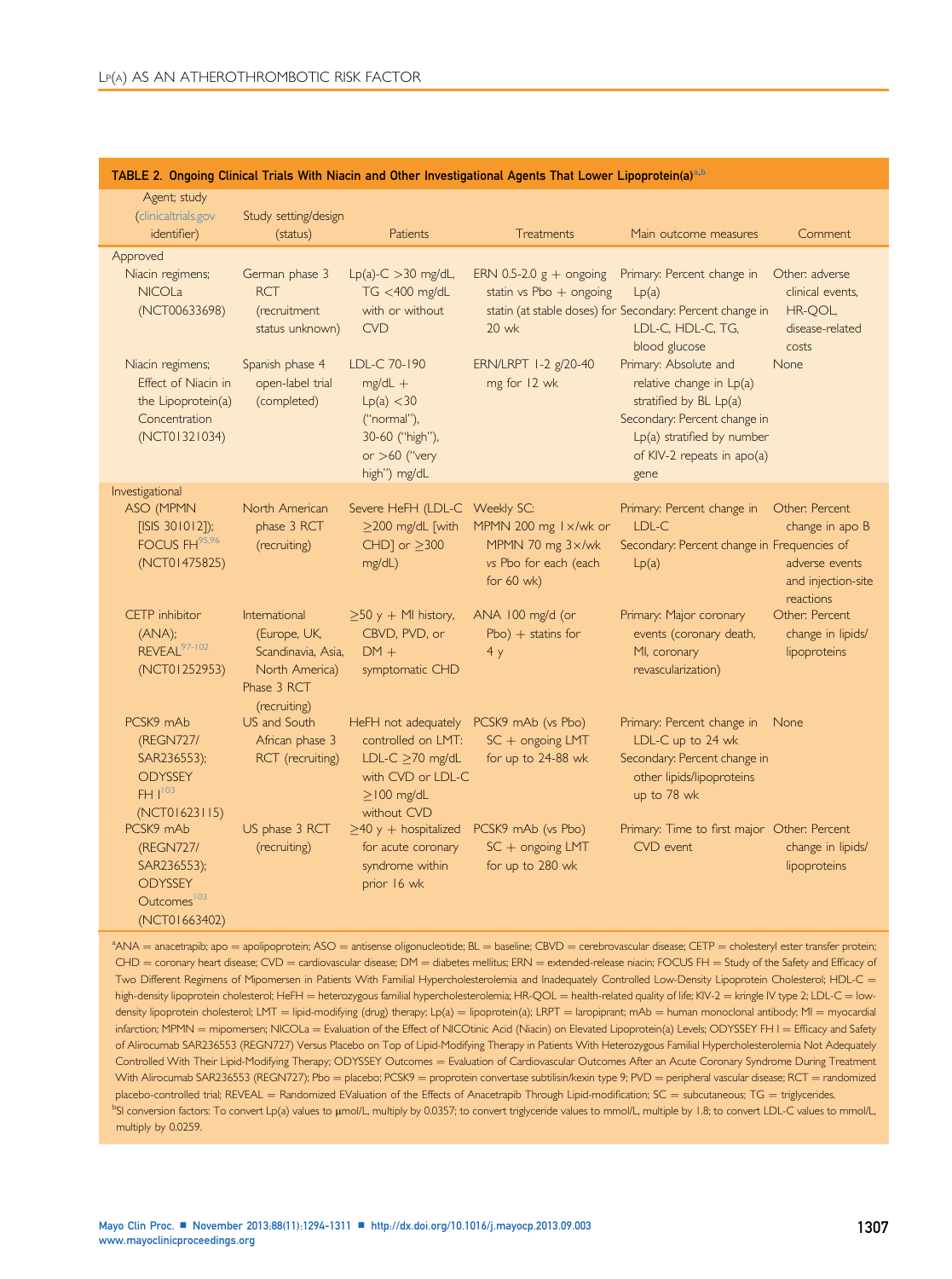| Agent; study<br>(clinicaltrials.gov<br>identifier)<br>Approved<br>Niacin regimens;<br><b>NICOLa</b><br>(NCT00633698) | Study setting/design<br>(status)<br>German phase 3<br><b>RCT</b><br>(recruitment                     | see e. ongoing omnout mais mini maom ana omor imosing<br><b>Patients</b><br>$Lp(a)-C > 30$ mg/dL,<br>TG <400 mg/dL<br>with or without      | Treatments<br>ERN 0.5-2.0 $g +$ ongoing<br>statin vs Pbo $+$ ongoing               | Main outcome measures<br>Primary: Percent change in<br>Lp(a)<br>statin (at stable doses) for Secondary: Percent change in                                                                                               | Comment<br>Other: adverse<br>clinical events,<br>HR-QOL,                  |
|----------------------------------------------------------------------------------------------------------------------|------------------------------------------------------------------------------------------------------|--------------------------------------------------------------------------------------------------------------------------------------------|------------------------------------------------------------------------------------|-------------------------------------------------------------------------------------------------------------------------------------------------------------------------------------------------------------------------|---------------------------------------------------------------------------|
| Niacin regimens;<br>Effect of Niacin in<br>the Lipoprotein(a)<br>Concentration<br>(NCT01321034)                      | status unknown)<br>Spanish phase 4<br>open-label trial<br>(completed)                                | <b>CVD</b><br>LDL-C 70-190<br>$mg/dL +$<br>Lp(a) < 30<br>("normal"),<br>30-60 ("high"),<br>or $>60$ ("very<br>high") mg/dL                 | 20 wk<br>ERN/LRPT 1-2 g/20-40<br>mg for 12 wk                                      | LDL-C, HDL-C, TG,<br>blood glucose<br>Primary: Absolute and<br>relative change in Lp(a)<br>stratified by $BL Lp(a)$<br>Secondary: Percent change in<br>Lp(a) stratified by number<br>of KIV-2 repeats in apo(a)<br>gene | disease-related<br>costs<br>None                                          |
| Investigational<br>ASO (MPMN<br>[ISIS 301012]);<br>FOCUS FH95,96<br>(NCT01475825)                                    | North American<br>phase 3 RCT<br>(recruiting)                                                        | Severe HeFH (LDL-C Weekly SC:<br>$>$ 200 mg/dL [with<br>CHD] or $\geq$ 300<br>mg/dL)                                                       | MPMN 200 mg 1 x/wk or<br>MPMN 70 mg 3x/wk<br>vs Pbo for each (each<br>for $60$ wk) | Primary: Percent change in<br>LDL-C<br>Secondary: Percent change in Frequencies of<br>Lp(a)                                                                                                                             | Other: Percent<br>change in apo B<br>adverse events<br>and injection-site |
| CETP inhibitor<br>(ANA);<br>REVEAL <sup>97-102</sup><br>(NCT01252953)                                                | International<br>(Europe, UK,<br>Scandinavia, Asia,<br>North America)<br>Phase 3 RCT<br>(recruiting) | $\geq$ 50 y + MI history,<br>CBVD, PVD, or<br>$DM +$<br>symptomatic CHD                                                                    | ANA 100 mg/d (or<br>$Pbo$ ) + statins for<br>4y                                    | Primary: Major coronary<br>events (coronary death,<br>MI, coronary<br>revascularization)                                                                                                                                | reactions<br>Other: Percent<br>change in lipids/<br>lipoproteins          |
| PCSK9 mAb<br>(REGN727/<br>SAR236553);<br><b>ODYSSEY</b><br>$FH$ <sup><math>1^{103}</math></sup><br>(NCT01623115)     | US and South<br>African phase 3<br>RCT (recruiting)                                                  | HeFH not adequately PCSK9 mAb (vs Pbo)<br>controlled on LMT:<br>LDL-C $\geq$ 70 mg/dL<br>with CVD or LDL-C<br>$>$ 100 mg/dL<br>without CVD | $SC +$ ongoing LMT<br>for up to 24-88 wk                                           | Primary: Percent change in<br>LDL-C up to 24 wk<br>Secondary: Percent change in<br>other lipids/lipoproteins<br>up to 78 wk                                                                                             | None                                                                      |
| PCSK9 mAb<br>(REGN727/<br>SAR236553);<br><b>ODYSSEY</b><br>Outcomes <sup>103</sup><br>(NCT01663402)                  | US phase 3 RCT<br>(recruiting)                                                                       | $\geq$ 40 y + hospitalized<br>for acute coronary<br>syndrome within<br>prior 16 wk                                                         | PCSK9 mAb (vs Pbo)<br>$SC +$ ongoing LMT<br>for up to 280 wk                       | Primary: Time to first major Other: Percent<br>CVD event                                                                                                                                                                | change in lipids/<br>lipoproteins                                         |

## <span id="page-13-0"></span>TABLE 2. Ongoing Clinical Trials With Niacin and Other Investigational Agents That Lower Lipoprotein(a)a,b

 $a^a$ ANA = anacetrapib; apo = apolipoprotein; ASO = antisense oligonucleotide; BL = baseline; CBVD = cerebrovascular disease; CETP = cholesteryl ester transfer protein;  $CHD =$  coronary heart disease;  $CVD =$  cardiovascular disease;  $DM =$  diabetes mellitus;  $ERN =$  extended-release niacin; FOCUS FH  $=$  Study of the Safety and Efficacy of Two Different Regimens of Mipomersen in Patients With Familial Hypercholesterolemia and Inadequately Controlled Low-Density Lipoprotein Cholesterol; HDL-C = high-density lipoprotein cholesterol; HeFH = heterozygous familial hypercholesterolemia; HR-QOL = health-related quality of life; KIV-2 = kringle IV type 2; LDL-C = lowdensity lipoprotein cholesterol; LMT = lipid-modifying (drug) therapy; Lp(a) = lipoprotein(a); LRPT = laropiprant; mAb = human monoclonal antibody; MI = myocardial infarction; MPMN = mipomersen; NICOLa = Evaluation of the Effect of NICOtinic Acid (Niacin) on Elevated Lipoprotein(a) Levels; ODYSSEY FH I = Efficacy and Safety of Alirocumab SAR236553 (REGN727) Versus Placebo on Top of Lipid-Modifying Therapy in Patients With Heterozygous Familial Hypercholesterolemia Not Adequately Controlled With Their Lipid-Modifying Therapy; ODYSSEY Outcomes = Evaluation of Cardiovascular Outcomes After an Acute Coronary Syndrome During Treatment With Alirocumab SAR236553 (REGN727); Pbo = placebo; PCSK9 = proprotein convertase subtilisin/kexin type 9; PVD = peripheral vascular disease; RCT = randomized  $p$ lacebo-controlled trial; REVEAL = Randomized EValuation of the Effects of Anacetrapib Through Lipid-modification;  $SC =$  subcutaneous;  $TG =$  triglycerides. <sup>b</sup>SI conversion factors: To convert Lp(a) values to umol/L, multiply by 0.0357; to convert triglyceride values to mmol/L, multiple by 1.8; to convert LDL-C values to mmol/L, multiply by 0.0259.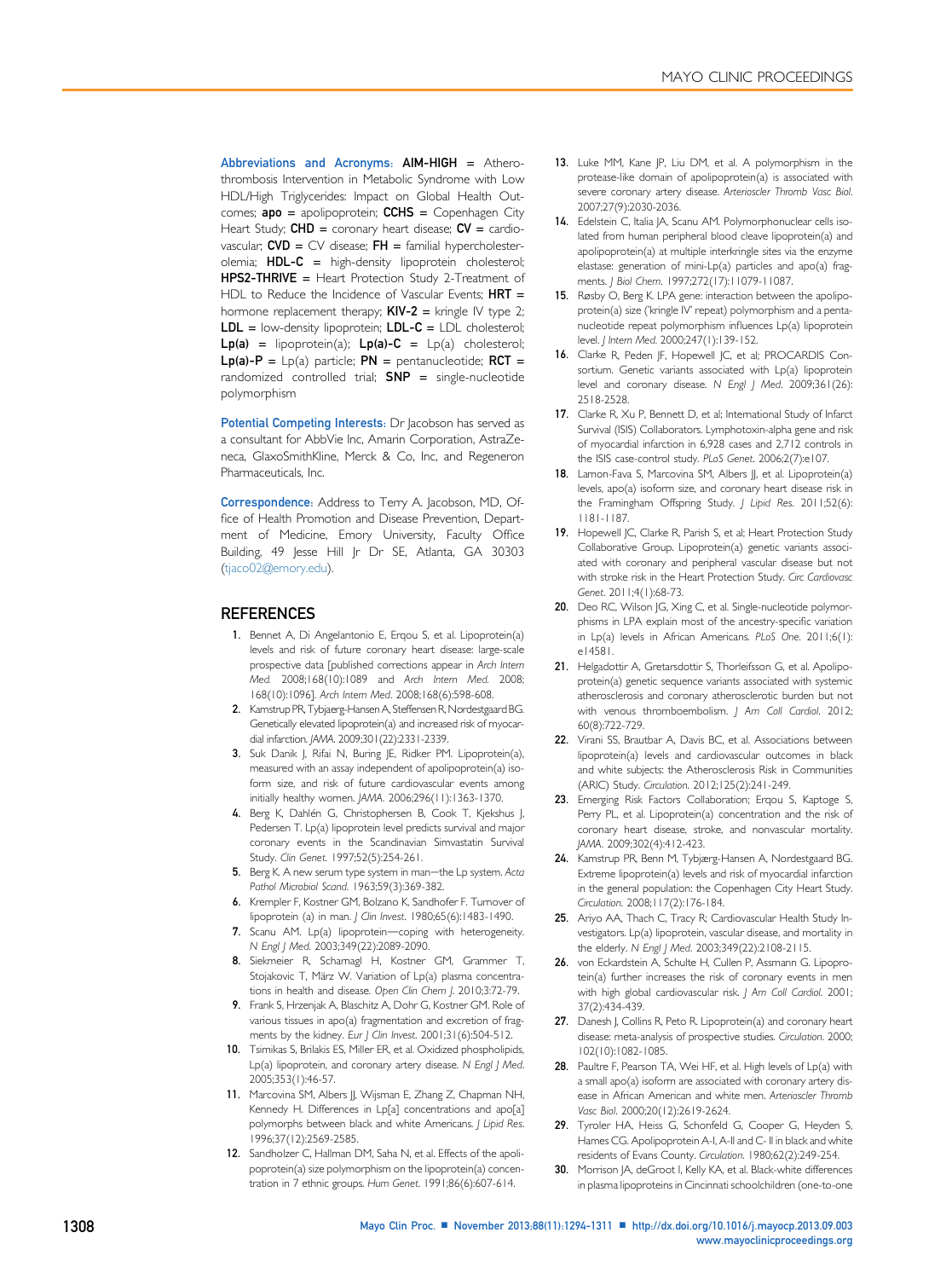<span id="page-14-0"></span>Abbreviations and Acronyms:  $AIM-HIGH$  = Atherothrombosis Intervention in Metabolic Syndrome with Low HDL/High Triglycerides: Impact on Global Health Outcomes;  $apo = apolipoprotein$ ; CCHS = Copenhagen City Heart Study;  $CHD =$  coronary heart disease;  $CV =$  cardiovascular;  $CVD = CV$  disease;  $FH =$  familial hypercholesterolemia; HDL-C = high-density lipoprotein cholesterol; HPS2-THRIVE = Heart Protection Study 2-Treatment of HDL to Reduce the Incidence of Vascular Events; HRT = hormone replacement therapy;  $KIV-2 =$  kringle IV type 2; LDL = low-density lipoprotein; LDL-C = LDL cholesterol;  $Lp(a)$  = lipoprotein(a);  $Lp(a)-C = Lp(a)$  cholesterol;  $Lp(a)-P = Lp(a)$  particle;  $PN =$  pentanucleotide; RCT = randomized controlled trial;  $SNP =$  single-nucleotide polymorphism

Potential Competing Interests: Dr Jacobson has served as a consultant for AbbVie Inc, Amarin Corporation, AstraZeneca, GlaxoSmithKline, Merck & Co, Inc, and Regeneron Pharmaceuticals, Inc.

Correspondence: Address to Terry A. Jacobson, MD, Office of Health Promotion and Disease Prevention, Department of Medicine, Emory University, Faculty Office Building, 49 Jesse Hill Jr Dr SE, Atlanta, GA 30303 [\(tjaco02@emory.edu](mailto:tjaco02@emory.edu)).

#### **REFERENCES**

- 1. Bennet A, Di Angelantonio E, Erqou S, et al. Lipoprotein(a) levels and risk of future coronary heart disease: large-scale prospective data [published corrections appear in Arch Intern Med. 2008;168(10):1089 and Arch Intern Med. 2008; 168(10):1096]. Arch Intern Med. 2008;168(6):598-608.
- 2. Kamstrup PR, Tybjaerg-Hansen A, Steffensen R, Nordestgaard BG. Genetically elevated lipoprotein(a) and increased risk of myocardial infarction. JAMA. 2009;301(22):2331-2339.
- 3. Suk Danik J, Rifai N, Buring JE, Ridker PM. Lipoprotein(a), measured with an assay independent of apolipoprotein(a) isoform size, and risk of future cardiovascular events among initially healthy women. JAMA. 2006;296(11):1363-1370.
- 4. Berg K, Dahlén G, Christophersen B, Cook T, Kjekshus J, Pedersen T. Lp(a) lipoprotein level predicts survival and major coronary events in the Scandinavian Simvastatin Survival Study. Clin Genet. 1997;52(5):254-261.
- 5. Berg K. A new serum type system in man-the Lp system. Acta Pathol Microbiol Scand. 1963;59(3):369-382.
- 6. Krempler F, Kostner GM, Bolzano K, Sandhofer F. Turnover of lipoprotein (a) in man. J Clin Invest. 1980;65(6):1483-1490.
- 7. Scanu AM. Lp(a) lipoprotein-coping with heterogeneity. N Engl J Med. 2003;349(22):2089-2090.
- 8. Siekmeier R, Scharnagl H, Kostner GM, Grammer T, Stojakovic T, März W. Variation of Lp(a) plasma concentrations in health and disease. Open Clin Chem J. 2010;3:72-79.
- 9. Frank S, Hrzenjak A, Blaschitz A, Dohr G, Kostner GM. Role of various tissues in apo(a) fragmentation and excretion of fragments by the kidney. Eur J Clin Invest. 2001;31(6):504-512.
- 10. Tsimikas S, Brilakis ES, Miller ER, et al. Oxidized phospholipids, Lp(a) lipoprotein, and coronary artery disease. N Engl J Med. 2005;353(1):46-57.
- 11. Marcovina SM, Albers JJ, Wijsman E, Zhang Z, Chapman NH, Kennedy H. Differences in Lp[a] concentrations and apo[a] polymorphs between black and white Americans. J Lipid Res. 1996;37(12):2569-2585.
- 12. Sandholzer C, Hallman DM, Saha N, et al. Effects of the apolipoprotein(a) size polymorphism on the lipoprotein(a) concentration in 7 ethnic groups. Hum Genet. 1991;86(6):607-614.
- 13. Luke MM, Kane JP, Liu DM, et al. A polymorphism in the protease-like domain of apolipoprotein(a) is associated with severe coronary artery disease. Arterioscler Thromb Vasc Biol. 2007;27(9):2030-2036.
- 14. Edelstein C, Italia JA, Scanu AM. Polymorphonuclear cells isolated from human peripheral blood cleave lipoprotein(a) and apolipoprotein(a) at multiple interkringle sites via the enzyme elastase: generation of mini-Lp(a) particles and apo(a) fragments. J Biol Chem. 1997;272(17):11079-11087.
- 15. Røsby O, Berg K. LPA gene: interaction between the apolipoprotein(a) size ('kringle IV' repeat) polymorphism and a pentanucleotide repeat polymorphism influences Lp(a) lipoprotein level. J Intern Med. 2000;247(1):139-152.
- 16. Clarke R, Peden JF, Hopewell JC, et al; PROCARDIS Consortium. Genetic variants associated with Lp(a) lipoprotein level and coronary disease. N Engl J Med. 2009;361(26): 2518-2528.
- 17. Clarke R, Xu P, Bennett D, et al; International Study of Infarct Survival (ISIS) Collaborators. Lymphotoxin-alpha gene and risk of myocardial infarction in 6,928 cases and 2,712 controls in the ISIS case-control study. PLoS Genet. 2006;2(7):e107.
- 18. Lamon-Fava S, Marcovina SM, Albers JJ, et al. Lipoprotein(a) levels, apo(a) isoform size, and coronary heart disease risk in the Framingham Offspring Study. | Lipid Res. 2011;52(6): 1181-1187.
- 19. Hopewell JC, Clarke R, Parish S, et al; Heart Protection Study Collaborative Group. Lipoprotein(a) genetic variants associated with coronary and peripheral vascular disease but not with stroke risk in the Heart Protection Study. Circ Cardiovasc Genet. 2011;4(1):68-73.
- 20. Deo RC, Wilson JG, Xing C, et al. Single-nucleotide polymorphisms in LPA explain most of the ancestry-specific variation in Lp(a) levels in African Americans. PLoS One. 2011;6(1): e14581.
- 21. Helgadottir A, Gretarsdottir S, Thorleifsson G, et al. Apolipoprotein(a) genetic sequence variants associated with systemic atherosclerosis and coronary atherosclerotic burden but not with venous thromboembolism. J Am Coll Cardiol. 2012; 60(8):722-729.
- 22. Virani SS, Brautbar A, Davis BC, et al. Associations between lipoprotein(a) levels and cardiovascular outcomes in black and white subjects: the Atherosclerosis Risk in Communities (ARIC) Study. Circulation. 2012;125(2):241-249.
- 23. Emerging Risk Factors Collaboration; Erqou S, Kaptoge S, Perry PL, et al. Lipoprotein(a) concentration and the risk of coronary heart disease, stroke, and nonvascular mortality. JAMA. 2009;302(4):412-423.
- 24. Kamstrup PR, Benn M, Tybjærg-Hansen A, Nordestgaard BG. Extreme lipoprotein(a) levels and risk of myocardial infarction in the general population: the Copenhagen City Heart Study. Circulation. 2008;117(2):176-184.
- 25. Ariyo AA, Thach C, Tracy R; Cardiovascular Health Study Investigators. Lp(a) lipoprotein, vascular disease, and mortality in the elderly. N Engl | Med. 2003;349(22):2108-2115.
- 26. von Eckardstein A, Schulte H, Cullen P, Assmann G. Lipoprotein(a) further increases the risk of coronary events in men with high global cardiovascular risk. J Am Coll Cardiol. 2001; 37(2):434-439.
- 27. Danesh J, Collins R, Peto R. Lipoprotein(a) and coronary heart disease: meta-analysis of prospective studies. Circulation. 2000; 102(10):1082-1085.
- 28. Paultre F, Pearson TA, Wei HF, et al. High levels of Lp(a) with a small apo(a) isoform are associated with coronary artery disease in African American and white men. Arterioscler Thromb Vasc Biol. 2000;20(12):2619-2624.
- 29. Tyroler HA, Heiss G, Schonfeld G, Cooper G, Heyden S, Hames CG. Apolipoprotein A-I, A-II and C- II in black and white residents of Evans County. Circulation. 1980;62(2):249-254.
- 30. Morrison JA, deGroot I, Kelly KA, et al. Black-white differences in plasma lipoproteins in Cincinnati schoolchildren (one-to-one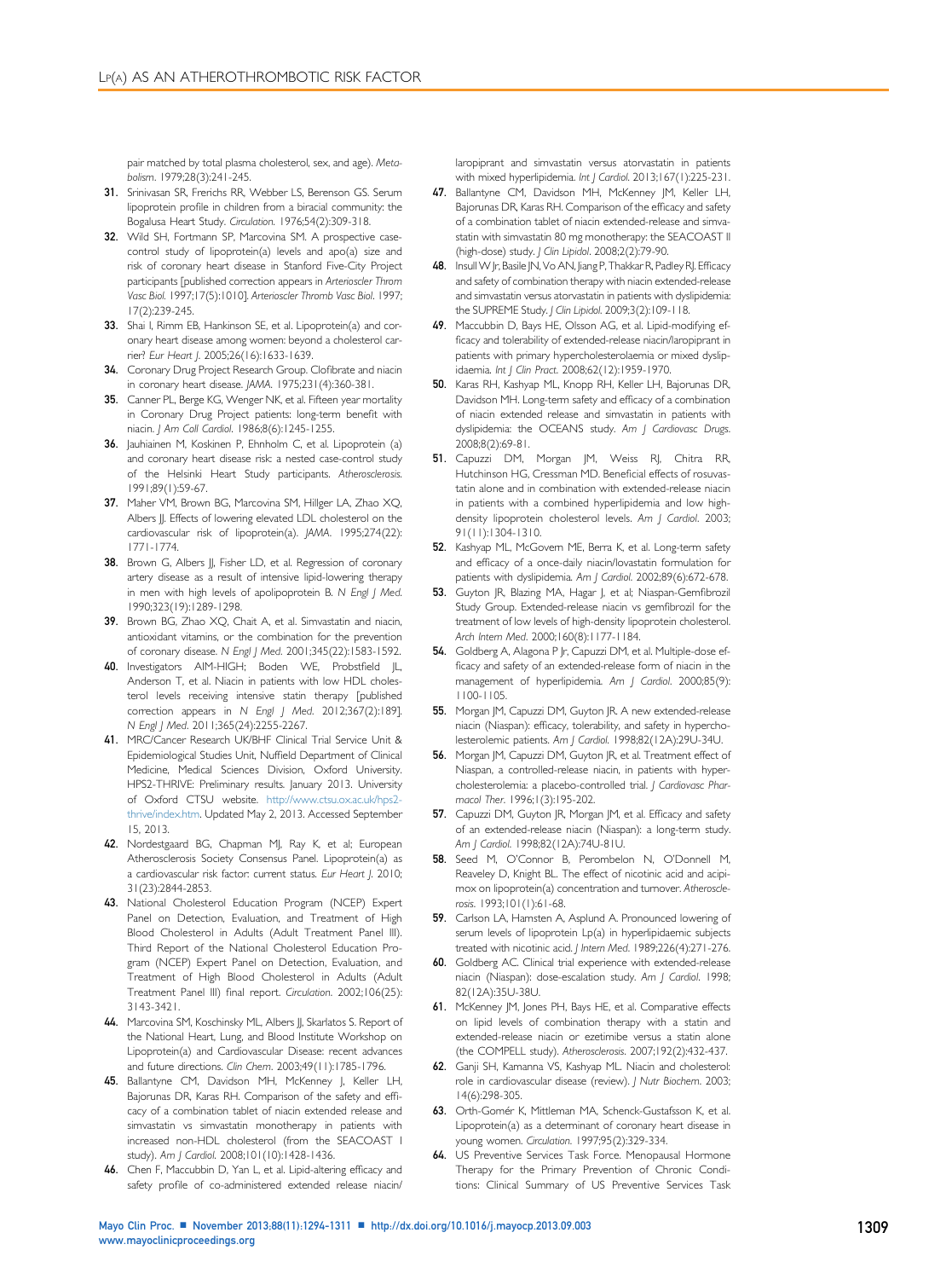<span id="page-15-0"></span>pair matched by total plasma cholesterol, sex, and age). Metabolism. 1979;28(3):241-245.

- 31. Srinivasan SR, Frerichs RR, Webber LS, Berenson GS. Serum lipoprotein profile in children from a biracial community: the Bogalusa Heart Study. Circulation. 1976;54(2):309-318.
- 32. Wild SH, Fortmann SP, Marcovina SM. A prospective casecontrol study of lipoprotein(a) levels and apo(a) size and risk of coronary heart disease in Stanford Five-City Project participants [published correction appears in Arterioscler Throm Vasc Biol. 1997;17(5):1010]. Arterioscler Thromb Vasc Biol. 1997; 17(2):239-245.
- 33. Shai I, Rimm EB, Hankinson SE, et al. Lipoprotein(a) and coronary heart disease among women: beyond a cholesterol carrier? Eur Heart J. 2005;26(16):1633-1639.
- 34. Coronary Drug Project Research Group. Clofibrate and niacin in coronary heart disease. JAMA. 1975;231(4):360-381.
- 35. Canner PL, Berge KG, Wenger NK, et al. Fifteen year mortality in Coronary Drug Project patients: long-term benefit with niacin. J Am Coll Cardiol. 1986;8(6):1245-1255.
- 36. Jauhiainen M, Koskinen P, Ehnholm C, et al. Lipoprotein (a) and coronary heart disease risk: a nested case-control study of the Helsinki Heart Study participants. Atherosclerosis. 1991;89(1):59-67.
- 37. Maher VM, Brown BG, Marcovina SM, Hillger LA, Zhao XQ, Albers JJ. Effects of lowering elevated LDL cholesterol on the cardiovascular risk of lipoprotein(a). JAMA. 1995;274(22): 1771-1774.
- 38. Brown G, Albers JJ, Fisher LD, et al. Regression of coronary artery disease as a result of intensive lipid-lowering therapy in men with high levels of apolipoprotein B. N Engl J Med. 1990;323(19):1289-1298.
- 39. Brown BG, Zhao XQ, Chait A, et al. Simvastatin and niacin, antioxidant vitamins, or the combination for the prevention of coronary disease. N Engl J Med. 2001;345(22):1583-1592.
- 40. Investigators AIM-HIGH; Boden WE, Probstfield JL, Anderson T, et al. Niacin in patients with low HDL cholesterol levels receiving intensive statin therapy [published correction appears in N Engl J Med. 2012;367(2):189]. N Engl J Med. 2011;365(24):2255-2267.
- 41. MRC/Cancer Research UK/BHF Clinical Trial Service Unit & Epidemiological Studies Unit, Nuffield Department of Clinical Medicine, Medical Sciences Division, Oxford University. HPS2-THRIVE: Preliminary results. January 2013. University of Oxford CTSU website. [http://www.ctsu.ox.ac.uk/hps2](http://www.ctsu.ox.ac.uk/hps2-thrive/index.htm) [thrive/index.htm.](http://www.ctsu.ox.ac.uk/hps2-thrive/index.htm) Updated May 2, 2013. Accessed September 15, 2013.
- 42. Nordestgaard BG, Chapman MJ, Ray K, et al; European Atherosclerosis Society Consensus Panel. Lipoprotein(a) as a cardiovascular risk factor: current status. Eur Heart J. 2010; 31(23):2844-2853.
- 43. National Cholesterol Education Program (NCEP) Expert Panel on Detection, Evaluation, and Treatment of High Blood Cholesterol in Adults (Adult Treatment Panel III). Third Report of the National Cholesterol Education Program (NCEP) Expert Panel on Detection, Evaluation, and Treatment of High Blood Cholesterol in Adults (Adult Treatment Panel III) final report. Circulation. 2002;106(25): 3143-3421.
- 44. Marcovina SM, Koschinsky ML, Albers JJ, Skarlatos S. Report of the National Heart, Lung, and Blood Institute Workshop on Lipoprotein(a) and Cardiovascular Disease: recent advances and future directions. Clin Chem. 2003;49(11):1785-1796.
- 45. Ballantyne CM, Davidson MH, McKenney J, Keller LH, Bajorunas DR, Karas RH. Comparison of the safety and efficacy of a combination tablet of niacin extended release and simvastatin vs simvastatin monotherapy in patients with increased non-HDL cholesterol (from the SEACOAST I study). Am J Cardiol. 2008;101(10):1428-1436.
- 46. Chen F, Maccubbin D, Yan L, et al. Lipid-altering efficacy and safety profile of co-administered extended release niacin/

laropiprant and simvastatin versus atorvastatin in patients with mixed hyperlipidemia. Int J Cardiol. 2013;167(1):225-231.

- 47. Ballantyne CM, Davidson MH, McKenney JM, Keller LH, Bajorunas DR, Karas RH. Comparison of the efficacy and safety of a combination tablet of niacin extended-release and simvastatin with simvastatin 80 mg monotherapy: the SEACOAST II (high-dose) study. J Clin Lipidol. 2008;2(2):79-90.
- 48. Insull W Jr, Basile JN, Vo AN, Jiang P, Thakkar R, Padley RJ. Efficacy and safety of combination therapy with niacin extended-release and simvastatin versus atorvastatin in patients with dyslipidemia: the SUPREME Study. J Clin Lipidol. 2009;3(2):109-118.
- 49. Maccubbin D, Bays HE, Olsson AG, et al. Lipid-modifying efficacy and tolerability of extended-release niacin/laropiprant in patients with primary hypercholesterolaemia or mixed dyslipidaemia. Int J Clin Pract. 2008;62(12):1959-1970.
- 50. Karas RH, Kashyap ML, Knopp RH, Keller LH, Bajorunas DR, Davidson MH. Long-term safety and efficacy of a combination of niacin extended release and simvastatin in patients with dyslipidemia: the OCEANS study. Am J Cardiovasc Drugs. 2008;8(2):69-81.
- 51. Capuzzi DM, Morgan JM, Weiss RJ, Chitra RR, Hutchinson HG, Cressman MD. Beneficial effects of rosuvastatin alone and in combination with extended-release niacin in patients with a combined hyperlipidemia and low highdensity lipoprotein cholesterol levels. Am J Cardiol. 2003; 91(11):1304-1310.
- 52. Kashyap ML, McGovern ME, Berra K, et al. Long-term safety and efficacy of a once-daily niacin/lovastatin formulation for patients with dyslipidemia. Am J Cardiol. 2002;89(6):672-678.
- 53. Guyton JR, Blazing MA, Hagar J, et al; Niaspan-Gemfibrozil Study Group. Extended-release niacin vs gemfibrozil for the treatment of low levels of high-density lipoprotein cholesterol. Arch Intern Med. 2000;160(8):1177-1184.
- 54. Goldberg A, Alagona P Jr, Capuzzi DM, et al. Multiple-dose efficacy and safety of an extended-release form of niacin in the management of hyperlipidemia. Am J Cardiol. 2000;85(9): 1100-1105.
- 55. Morgan JM, Capuzzi DM, Guyton JR. A new extended-release niacin (Niaspan): efficacy, tolerability, and safety in hypercholesterolemic patients. Am J Cardiol. 1998;82(12A):29U-34U.
- 56. Morgan JM, Capuzzi DM, Guyton JR, et al. Treatment effect of Niaspan, a controlled-release niacin, in patients with hypercholesterolemia: a placebo-controlled trial. J Cardiovasc Pharmacol Ther. 1996;1(3):195-202.
- 57. Capuzzi DM, Guyton JR, Morgan JM, et al. Efficacy and safety of an extended-release niacin (Niaspan): a long-term study. Am J Cardiol. 1998;82(12A):74U-81U.
- 58. Seed M, O'Connor B, Perombelon N, O'Donnell M, Reaveley D, Knight BL. The effect of nicotinic acid and acipimox on lipoprotein(a) concentration and turnover. Atherosclerosis. 1993;101(1):61-68.
- 59. Carlson LA, Hamsten A, Asplund A. Pronounced lowering of serum levels of lipoprotein Lp(a) in hyperlipidaemic subjects treated with nicotinic acid. J Intern Med. 1989;226(4):271-276.
- 60. Goldberg AC. Clinical trial experience with extended-release niacin (Niaspan): dose-escalation study. Am J Cardiol. 1998; 82(12A):35U-38U.
- 61. McKenney JM, Jones PH, Bays HE, et al. Comparative effects on lipid levels of combination therapy with a statin and extended-release niacin or ezetimibe versus a statin alone (the COMPELL study). Atherosclerosis. 2007;192(2):432-437.
- 62. Ganji SH, Kamanna VS, Kashyap ML. Niacin and cholesterol: role in cardiovascular disease (review). J Nutr Biochem. 2003; 14(6):298-305.
- 63. Orth-Gomér K, Mittleman MA, Schenck-Gustafsson K, et al. Lipoprotein(a) as a determinant of coronary heart disease in young women. Circulation. 1997;95(2):329-334.
- 64. US Preventive Services Task Force. Menopausal Hormone Therapy for the Primary Prevention of Chronic Conditions: Clinical Summary of US Preventive Services Task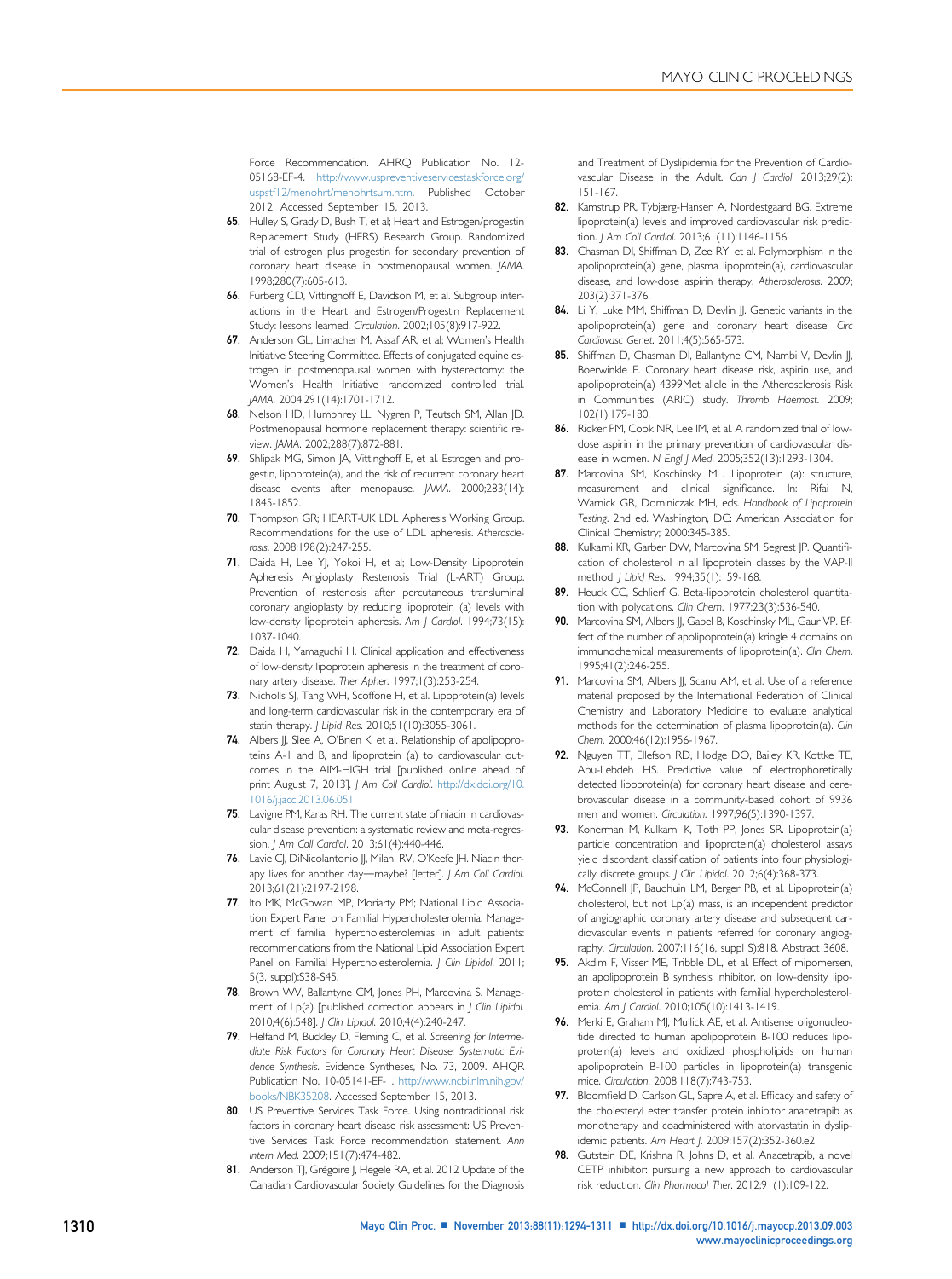<span id="page-16-0"></span>Force Recommendation. AHRQ Publication No. 12- 05168-EF-4. [http://www.uspreventiveservicestaskforce.org/](http://www.uspreventiveservicestaskforce.org/uspstf12/menohrt/menohrtsum.htm) [uspstf12/menohrt/menohrtsum.htm.](http://www.uspreventiveservicestaskforce.org/uspstf12/menohrt/menohrtsum.htm) Published October 2012. Accessed September 15, 2013.

- 65. Hulley S, Grady D, Bush T, et al; Heart and Estrogen/progestin Replacement Study (HERS) Research Group. Randomized trial of estrogen plus progestin for secondary prevention of coronary heart disease in postmenopausal women. JAMA. 1998;280(7):605-613.
- 66. Furberg CD, Vittinghoff E, Davidson M, et al. Subgroup interactions in the Heart and Estrogen/Progestin Replacement Study: lessons learned. Circulation. 2002;105(8):917-922.
- 67. Anderson GL, Limacher M, Assaf AR, et al; Women's Health Initiative Steering Committee. Effects of conjugated equine estrogen in postmenopausal women with hysterectomy: the Women's Health Initiative randomized controlled trial. JAMA. 2004;291(14):1701-1712.
- 68. Nelson HD, Humphrey LL, Nygren P, Teutsch SM, Allan JD. Postmenopausal hormone replacement therapy: scientific review. JAMA. 2002;288(7):872-881.
- 69. Shlipak MG, Simon JA, Vittinghoff E, et al. Estrogen and progestin, lipoprotein(a), and the risk of recurrent coronary heart disease events after menopause. JAMA. 2000;283(14): 1845-1852.
- 70. Thompson GR; HEART-UK LDL Apheresis Working Group. Recommendations for the use of LDL apheresis. Atherosclerosis. 2008;198(2):247-255.
- 71. Daida H, Lee YJ, Yokoi H, et al; Low-Density Lipoprotein Apheresis Angioplasty Restenosis Trial (L-ART) Group. Prevention of restenosis after percutaneous transluminal coronary angioplasty by reducing lipoprotein (a) levels with low-density lipoprotein apheresis. Am J Cardiol. 1994;73(15): 1037-1040.
- 72. Daida H, Yamaguchi H. Clinical application and effectiveness of low-density lipoprotein apheresis in the treatment of coronary artery disease. Ther Apher. 1997;1(3):253-254.
- 73. Nicholls SJ, Tang WH, Scoffone H, et al. Lipoprotein(a) levels and long-term cardiovascular risk in the contemporary era of statin therapy. J Lipid Res. 2010;51(10):3055-3061.
- 74. Albers JJ, Slee A, O'Brien K, et al. Relationship of apolipoproteins A-1 and B, and lipoprotein (a) to cardiovascular outcomes in the AIM-HIGH trial [published online ahead of print August 7, 2013]. J Am Coll Cardiol. [http://dx.doi.org/10.](http://dx.doi.org/10.1016/j.jacc.2013.06.051) [1016/j.jacc.2013.06.051](http://dx.doi.org/10.1016/j.jacc.2013.06.051).
- 75. Lavigne PM, Karas RH. The current state of niacin in cardiovascular disease prevention: a systematic review and meta-regression. J Am Coll Cardiol. 2013;61(4):440-446.
- 76. Lavie CJ, DiNicolantonio JJ, Milani RV, O'Keefe JH. Niacin therapy lives for another day-maybe? [letter]. J Am Coll Cardiol. 2013;61(21):2197-2198.
- 77. Ito MK, McGowan MP, Moriarty PM; National Lipid Association Expert Panel on Familial Hypercholesterolemia. Management of familial hypercholesterolemias in adult patients: recommendations from the National Lipid Association Expert Panel on Familial Hypercholesterolemia. | Clin Lipidol. 2011; 5(3, suppl):S38-S45.
- 78. Brown WV, Ballantyne CM, Jones PH, Marcovina S. Management of Lp(a) [published correction appears in | Clin Lipidol. 2010;4(6):548]. J Clin Lipidol. 2010;4(4):240-247.
- 79. Helfand M, Buckley D, Fleming C, et al. Screening for Intermediate Risk Factors for Coronary Heart Disease: Systematic Evidence Synthesis. Evidence Syntheses, No. 73, 2009. AHQR Publication No. 10-05141-EF-1. [http://www.ncbi.nlm.nih.gov/](http://www.ncbi.nlm.nih.gov/books/NBK35208) [books/NBK35208](http://www.ncbi.nlm.nih.gov/books/NBK35208). Accessed September 15, 2013.
- 80. US Preventive Services Task Force. Using nontraditional risk factors in coronary heart disease risk assessment: US Preventive Services Task Force recommendation statement. Ann Intern Med. 2009;151(7):474-482.
- 81. Anderson TJ, Grégoire J, Hegele RA, et al. 2012 Update of the Canadian Cardiovascular Society Guidelines for the Diagnosis

and Treatment of Dyslipidemia for the Prevention of Cardiovascular Disease in the Adult. Can | Cardiol. 2013;29(2): 151-167.

- 82. Kamstrup PR, Tybjærg-Hansen A, Nordestgaard BG. Extreme lipoprotein(a) levels and improved cardiovascular risk prediction. J Am Coll Cardiol. 2013;61(11):1146-1156.
- 83. Chasman DI, Shiffman D, Zee RY, et al. Polymorphism in the apolipoprotein(a) gene, plasma lipoprotein(a), cardiovascular disease, and low-dose aspirin therapy. Atherosclerosis. 2009; 203(2):371-376.
- 84. Li Y, Luke MM, Shiffman D, Devlin JJ. Genetic variants in the apolipoprotein(a) gene and coronary heart disease. Circ Cardiovasc Genet. 2011;4(5):565-573.
- 85. Shiffman D, Chasman DI, Ballantyne CM, Nambi V, Devlin JJ, Boerwinkle E. Coronary heart disease risk, aspirin use, and apolipoprotein(a) 4399Met allele in the Atherosclerosis Risk in Communities (ARIC) study. Thromb Haemost. 2009; 102(1):179-180.
- 86. Ridker PM, Cook NR, Lee IM, et al. A randomized trial of lowdose aspirin in the primary prevention of cardiovascular disease in women. N Engl J Med. 2005;352(13):1293-1304.
- 87. Marcovina SM, Koschinsky ML. Lipoprotein (a): structure, measurement and clinical significance. In: Rifai N, Warnick GR, Dominiczak MH, eds. Handbook of Lipoprotein Testing. 2nd ed. Washington, DC: American Association for Clinical Chemistry; 2000:345-385.
- 88. Kulkarni KR, Garber DW, Marcovina SM, Segrest JP. Quantification of cholesterol in all lipoprotein classes by the VAP-II method. J Lipid Res. 1994;35(1):159-168.
- 89. Heuck CC, Schlierf G. Beta-lipoprotein cholesterol quantitation with polycations. Clin Chem. 1977;23(3):536-540.
- 90. Marcovina SM, Albers JJ, Gabel B, Koschinsky ML, Gaur VP. Effect of the number of apolipoprotein(a) kringle 4 domains on immunochemical measurements of lipoprotein(a). Clin Chem. 1995;41(2):246-255.
- 91. Marcovina SM, Albers JJ, Scanu AM, et al. Use of a reference material proposed by the International Federation of Clinical Chemistry and Laboratory Medicine to evaluate analytical methods for the determination of plasma lipoprotein(a). Clin Chem. 2000;46(12):1956-1967.
- 92. Nguyen TT, Ellefson RD, Hodge DO, Bailey KR, Kottke TE, Abu-Lebdeh HS. Predictive value of electrophoretically detected lipoprotein(a) for coronary heart disease and cerebrovascular disease in a community-based cohort of 9936 men and women. Circulation. 1997;96(5):1390-1397.
- 93. Konerman M, Kulkarni K, Toth PP, Jones SR, Lipoprotein(a) particle concentration and lipoprotein(a) cholesterol assays yield discordant classification of patients into four physiologically discrete groups. J Clin Lipidol. 2012;6(4):368-373.
- 94. McConnell JP, Baudhuin LM, Berger PB, et al. Lipoprotein(a) cholesterol, but not Lp(a) mass, is an independent predictor of angiographic coronary artery disease and subsequent cardiovascular events in patients referred for coronary angiography. Circulation. 2007;116(16, suppl S):818. Abstract 3608.
- 95. Akdim F, Visser ME, Tribble DL, et al. Effect of mipomersen, an apolipoprotein B synthesis inhibitor, on low-density lipoprotein cholesterol in patients with familial hypercholesterolemia. Am J Cardiol. 2010;105(10):1413-1419.
- 96. Merki E, Graham MJ, Mullick AE, et al. Antisense oligonucleotide directed to human apolipoprotein B-100 reduces lipoprotein(a) levels and oxidized phospholipids on human apolipoprotein B-100 particles in lipoprotein(a) transgenic mice. Circulation. 2008;118(7):743-753.
- 97. Bloomfield D, Carlson GL, Sapre A, et al. Efficacy and safety of the cholesteryl ester transfer protein inhibitor anacetrapib as monotherapy and coadministered with atorvastatin in dyslipidemic patients. Am Heart J. 2009;157(2):352-360.e2.
- 98. Gutstein DE, Krishna R, Johns D, et al. Anacetrapib, a novel CETP inhibitor: pursuing a new approach to cardiovascular risk reduction. Clin Pharmacol Ther. 2012;91(1):109-122.